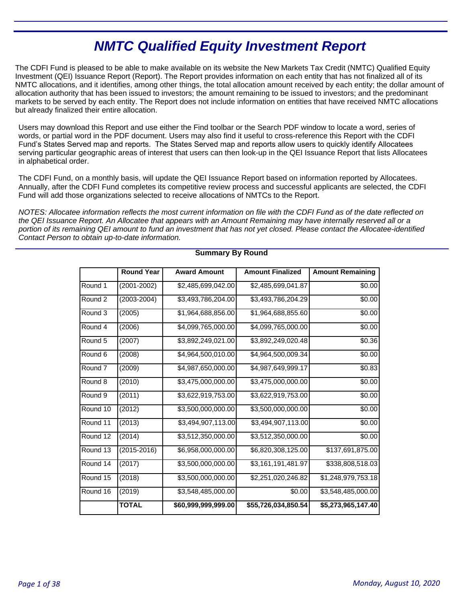# **NMTC Qualified Equity Investment Report**

The CDFI Fund is pleased to be able to make available on its website the New Markets Tax Credit (NMTC) Qualified Equity Investment (QEI) Issuance Report (Report). The Report provides information on each entity that has not finalized all of its NMTC allocations, and it identifies, among other things, the total allocation amount received by each entity; the dollar amount of allocation authority that has been issued to investors; the amount remaining to be issued to investors; and the predominant markets to be served by each entity. The Report does not include information on entities that have received NMTC allocations but already finalized their entire allocation.

Users may download this Report and use either the Find toolbar or the Search PDF window to locate a word, series of words, or partial word in the PDF document. Users may also find it useful to cross-reference this Report with the CDFI Fund's States Served map and reports. The States Served map and reports allow users to quickly identify Allocatees serving particular geographic areas of interest that users can then look-up in the QEI Issuance Report that lists Allocatees in alphabetical order.

The CDFI Fund, on a monthly basis, will update the QEI Issuance Report based on information reported by Allocatees. Annually, after the CDFI Fund completes its competitive review process and successful applicants are selected, the CDFI Fund will add those organizations selected to receive allocations of NMTCs to the Report.

NOTES: Allocatee information reflects the most current information on file with the CDFI Fund as of the date reflected on the QEI Issuance Report. An Allocatee that appears with an Amount Remaining may have internally reserved all or a portion of its remaining QEI amount to fund an investment that has not yet closed. Please contact the Allocatee-identified Contact Person to obtain up-to-date information.

|                    | <b>Round Year</b> | <b>Award Amount</b> | <b>Amount Finalized</b> | <b>Amount Remaining</b> |
|--------------------|-------------------|---------------------|-------------------------|-------------------------|
| Round 1            | (2001-2002)       | \$2,485,699,042.00  | \$2,485,699,041.87      | \$0.00                  |
| Round 2            | (2003-2004)       | \$3,493,786,204.00  | \$3,493,786,204.29      | \$0.00                  |
| Round 3            | (2005)            | \$1,964,688,856.00  | \$1,964,688,855.60      | \$0.00                  |
| Round 4            | (2006)            | \$4,099,765,000.00  | \$4,099,765,000.00      | \$0.00                  |
| Round 5            | (2007)            | \$3,892,249,021.00  | \$3,892,249,020.48      | \$0.36                  |
| Round 6            | (2008)            | \$4,964,500,010.00  | \$4,964,500,009.34      | \$0.00                  |
| Round <sub>7</sub> | (2009)            | \$4,987,650,000.00  | \$4,987,649,999.17      | \$0.83                  |
| Round 8            | (2010)            | \$3,475,000,000.00  | \$3,475,000,000.00      | \$0.00                  |
| Round <sub>9</sub> | (2011)            | \$3,622,919,753.00  | \$3,622,919,753.00      | \$0.00                  |
| Round 10           | (2012)            | \$3,500,000,000.00  | \$3,500,000,000.00      | \$0.00                  |
| Round 11           | (2013)            | \$3,494,907,113.00  | \$3,494,907,113.00      | \$0.00                  |
| Round 12           | (2014)            | \$3,512,350,000.00  | \$3,512,350,000.00      | \$0.00                  |
| Round 13           | $(2015 - 2016)$   | \$6,958,000,000.00  | \$6,820,308,125.00      | \$137,691,875.00        |
| Round 14           | (2017)            | \$3,500,000,000.00  | \$3,161,191,481.97      | \$338,808,518.03        |
| Round 15           | (2018)            | \$3,500,000,000.00  | \$2,251,020,246.82      | \$1,248,979,753.18      |
| Round 16           | (2019)            | \$3,548,485,000.00  | \$0.00                  | \$3,548,485,000.00      |
|                    | <b>TOTAL</b>      | \$60,999,999,999.00 | \$55,726,034,850.54     | \$5,273,965,147.40      |

# **Summary By Round**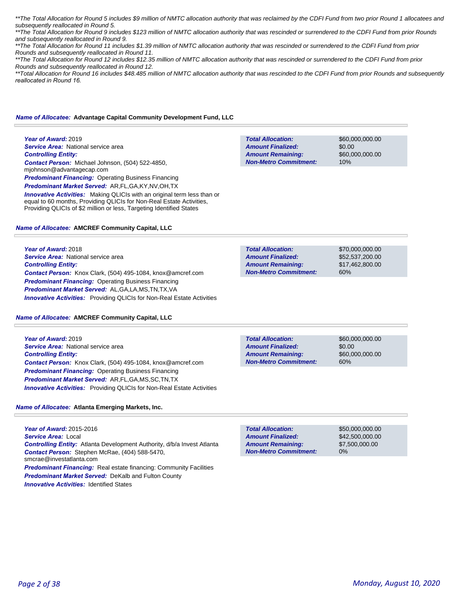\*\*The Total Allocation for Round 5 includes \$9 million of NMTC allocation authority that was reclaimed by the CDFI Fund from two prior Round 1 allocatees and subsequently reallocated in Round 5.

\*\*The Total Allocation for Round 9 includes \$123 million of NMTC allocation authority that was rescinded or surrendered to the CDFI Fund from prior Rounds and subsequently reallocated in Round 9.

\*\*The Total Allocation for Round 11 includes \$1.39 million of NMTC allocation authority that was rescinded or surrendered to the CDFI Fund from prior Rounds and subsequently reallocated in Round 11.

\*\*The Total Allocation for Round 12 includes \$12.35 million of NMTC allocation authority that was rescinded or surrendered to the CDFI Fund from prior Rounds and subsequently reallocated in Round 12.

\*\*Total Allocation for Round 16 includes \$48.485 million of NMTC allocation authority that was rescinded to the CDFI Fund from prior Rounds and subsequently *reallocated in Round 16.* 

**Total Allocation:**

**Non-Metro Commitment: Amount Remaining: Amount Finalized:**

### *Name of Allocatee:* **Advantage Capital Community Development Fund, LLC**

**Year of Award:** 2019 **Service Area: National service area** *Controlling Entity: Contact Person:* Michael Johnson, (504) 522-4850, mjohnson@advantagecap.com **Predominant Financing: Operating Business Financing** *Predominant Market Served:* AR,FL,GA,KY,NV,OH,TX

**Innovative Activities:** Making QLICIs with an original term less than or equal to 60 months, Providing QLICIs for Non-Real Estate Activities, Providing QLICIs of \$2 million or less, Targeting Identified States

### *Name of Allocatee:* **AMCREF Community Capital, LLC**

**Year of Award:** 2018 **Service Area: National service area** *Controlling Entity: Contact Person:* Knox Clark, (504) 495-1084, knox@amcref.com **Predominant Financing: Operating Business Financing** *Predominant Market Served:* AL,GA,LA,MS,TN,TX,VA *Innovative Activities:* Providing QLICIs for Non-Real Estate Activities

#### *Name of Allocatee:* **AMCREF Community Capital, LLC**

**Year of Award:** 2019 **Service Area: National service area** *Controlling Entity: Contact Person:* Knox Clark, (504) 495-1084, knox@amcref.com *Predominant Financing:* Operating Business Financing *Predominant Market Served:* AR,FL,GA,MS,SC,TN,TX **Innovative Activities:** Providing QLICIs for Non-Real Estate Activities

#### *Name of Allocatee:* **Atlanta Emerging Markets, Inc.**

**Year of Award:** 2015-2016 *Service Area:* Local *Controlling Entity:* Atlanta Development Authority, d/b/a Invest Atlanta *Contact Person:* Stephen McRae, (404) 588-5470, smcrae@investatlanta.com **Predominant Financing:** Real estate financing: Community Facilities *Predominant Market Served:* DeKalb and Fulton County

| <b>Innovative Activities: Identified States</b> |  |
|-------------------------------------------------|--|
|-------------------------------------------------|--|

| <b>Total Allocation:</b>     | \$50,000,000,00 |
|------------------------------|-----------------|
| <b>Amount Finalized:</b>     | \$42,500,000,00 |
| <b>Amount Remaining:</b>     | \$7,500,000,00  |
| <b>Non-Metro Commitment:</b> | $0\%$           |
|                              |                 |

60% **Total Allocation: Non-Metro Commitment: Amount Remaining: Amount Finalized:**

\$70,000,000.00 \$52,537,200.00 \$17,462,800.00

\$60,000,000.00

\$60,000,000.00

\$0.00

10%

**Total Allocation: Non-Metro Commitment: Amount Remaining: Amount Finalized:**

\$60,000,000.00 \$0.00 \$60,000,000.00 60%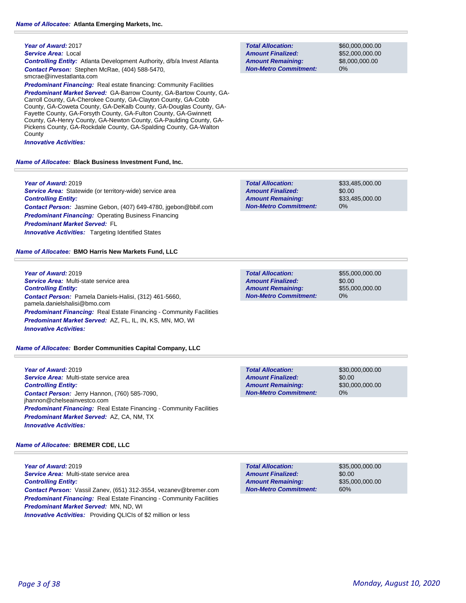#### **Year of Award:** 2017

*Service Area:* Local *Controlling Entity:* Atlanta Development Authority, d/b/a Invest Atlanta *Contact Person:* Stephen McRae, (404) 588-5470, smcrae@investatlanta.com

**Predominant Financing:** Real estate financing: Community Facilities

*Predominant Market Served:* GA-Barrow County, GA-Bartow County, GA-Carroll County, GA-Cherokee County, GA-Clayton County, GA-Cobb County, GA-Coweta County, GA-DeKalb County, GA-Douglas County, GA-Fayette County, GA-Forsyth County, GA-Fulton County, GA-Gwinnett County, GA-Henry County, GA-Newton County, GA-Paulding County, GA-Pickens County, GA-Rockdale County, GA-Spalding County, GA-Walton County

*Innovative Activities:* 

#### *Name of Allocatee:* **Black Business Investment Fund, Inc.**

**Year of Award:** 2019 *Service Area:* Statewide (or territory-wide) service area *Controlling Entity: Contact Person:* Jasmine Gebon, (407) 649-4780, jgebon@bbif.com **Predominant Financing: Operating Business Financing** *Predominant Market Served:* FL **Innovative Activities:** Targeting Identified States

*Name of Allocatee:* **BMO Harris New Markets Fund, LLC**

**Year of Award:** 2019 *Service Area:* Multi-state service area *Controlling Entity: Contact Person:* Pamela Daniels-Halisi, (312) 461-5660, pamela.danielshalisi@bmo.com *Predominant Financing:* Real Estate Financing - Community Facilities *Predominant Market Served:* AZ, FL, IL, IN, KS, MN, MO, WI *Innovative Activities:* 

### *Name of Allocatee:* **Border Communities Capital Company, LLC**

**Year of Award:** 2019 *Service Area:* Multi-state service area *Controlling Entity: Contact Person:* Jerry Hannon, (760) 585-7090, jhannon@chelseainvestco.com *Predominant Financing:* Real Estate Financing - Community Facilities *Predominant Market Served:* AZ, CA, NM, TX *Innovative Activities:* 

### *Name of Allocatee:* **BREMER CDE, LLC**

**Year of Award:** 2019 *Service Area:* Multi-state service area *Controlling Entity: Contact Person:* Vassil Zanev, (651) 312-3554, vezanev@bremer.com **Predominant Financing:** Real Estate Financing - Community Facilities *Predominant Market Served:* MN, ND, WI *Innovative Activities:* Providing QLICIs of \$2 million or less

**Total Allocation: Non-Metro Commitment: Amount Remaining: Amount Finalized:**

\$60,000,000.00 \$52,000,000.00 \$8,000,000.00 0%

**Total Allocation: Non-Metro Commitment: Amount Remaining: Amount Finalized:**

\$33,485,000.00 \$0.00 \$33,485,000.00 0%

**Total Allocation: Non-Metro Commitment: Amount Remaining: Amount Finalized:**

\$55,000,000.00 \$0.00 \$55,000,000.00 0%

\$0.00 0% **Total Allocation: Non-Metro Commitment: Amount Remaining: Amount Finalized:**

\$30,000,000.00 \$30,000,000.00

\$35,000,000.00

\$35,000,000.00

\$0.00

60%

**Total Allocation: Non-Metro Commitment: Amount Remaining: Amount Finalized:**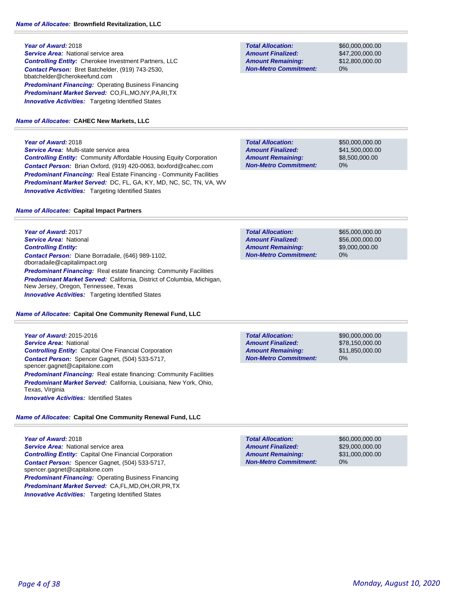**Year of Award:** 2018 *Service Area:* National service area *Controlling Entity:* Cherokee Investment Partners, LLC *Contact Person:* Bret Batchelder, (919) 743-2530, bbatchelder@cherokeefund.com **Predominant Financing: Operating Business Financing** *Predominant Market Served:* CO,FL,MO,NY,PA,RI,TX **Innovative Activities:** Targeting Identified States

### *Name of Allocatee:* **CAHEC New Markets, LLC**

### **Year of Award:** 2018

*Service Area:* Multi-state service area *Controlling Entity:* Community Affordable Housing Equity Corporation *Contact Person:* Brian Oxford, (919) 420-0063, boxford@cahec.com *Predominant Financing:* Real Estate Financing - Community Facilities *Predominant Market Served:* DC, FL, GA, KY, MD, NC, SC, TN, VA, WV **Innovative Activities:** Targeting Identified States

#### *Name of Allocatee:* **Capital Impact Partners**

**Year of Award:** 2017 *Service Area:* National *Controlling Entity: Contact Person:* Diane Borradaile, (646) 989-1102, dborradaile@capitalimpact.org **Predominant Financing:** Real estate financing: Community Facilities *Predominant Market Served:* California, District of Columbia, Michigan, New Jersey, Oregon, Tennessee, Texas **Innovative Activities:** Targeting Identified States

#### *Name of Allocatee:* **Capital One Community Renewal Fund, LLC**

**Year of Award:** 2015-2016 *Service Area:* National *Controlling Entity:* Capital One Financial Corporation *Contact Person:* Spencer Gagnet, (504) 533-5717, spencer.gagnet@capitalone.com **Predominant Financing:** Real estate financing: Community Facilities *Predominant Market Served:* California, Louisiana, New York, Ohio, Texas, Virginia **Innovative Activities: Identified States** 

# *Name of Allocatee:* **Capital One Community Renewal Fund, LLC**

**Year of Award:** 2018 **Service Area: National service area** *Controlling Entity:* Capital One Financial Corporation *Contact Person:* Spencer Gagnet, (504) 533-5717, spencer.gagnet@capitalone.com *Predominant Financing:* Operating Business Financing *Predominant Market Served:* CA,FL,MD,OH,OR,PR,TX **Innovative Activities:** Targeting Identified States

**Total Allocation: Non-Metro Commitment: Amount Remaining: Amount Finalized:**

\$60,000,000.00 \$47,200,000.00 \$12,800,000.00 0%

**Total Allocation: Non-Metro Commitment: Amount Remaining: Amount Finalized:**

\$50,000,000.00 \$41,500,000.00 \$8,500,000.00 0%

\$65,000,000.00 \$56,000,000.00 \$9,000,000.00 0% **Total Allocation: Non-Metro Commitment: Amount Remaining: Amount Finalized:**

**Total Allocation: Non-Metro Commitment: Amount Remaining: Amount Finalized:**

\$90,000,000.00 \$78,150,000.00 \$11,850,000.00 0%

**Total Allocation: Non-Metro Commitment: Amount Remaining: Amount Finalized:**

\$60,000,000.00 \$29,000,000.00 \$31,000,000.00 0%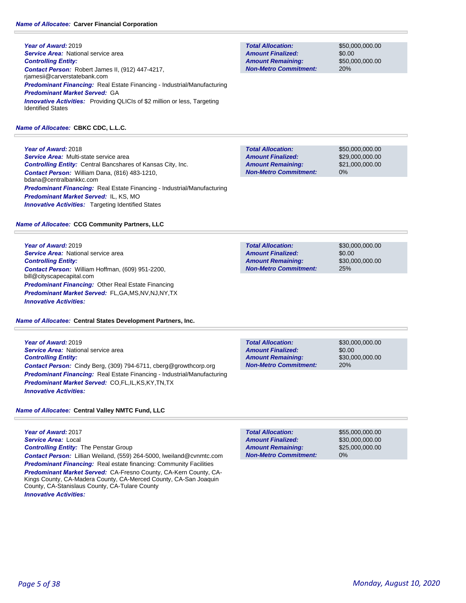**Year of Award:** 2019 **Service Area:** National service area *Controlling Entity: Contact Person:* Robert James II, (912) 447-4217, rjamesii@carverstatebank.com *Predominant Financing:* Real Estate Financing - Industrial/Manufacturing *Predominant Market Served:* GA **Innovative Activities:** Providing QLICIs of \$2 million or less, Targeting Identified States

### *Name of Allocatee:* **CBKC CDC, L.L.C.**

**Year of Award:** 2018 *Service Area:* Multi-state service area *Controlling Entity:* Central Bancshares of Kansas City, Inc. *Contact Person:* William Dana, (816) 483-1210, bdana@centralbankkc.com *Predominant Financing:* Real Estate Financing - Industrial/Manufacturing *Predominant Market Served:* IL, KS, MO **Innovative Activities:** Targeting Identified States

### *Name of Allocatee:* **CCG Community Partners, LLC**

**Year of Award:** 2019 **Service Area:** National service area *Controlling Entity: Contact Person:* William Hoffman, (609) 951-2200, bill@cityscapecapital.com *Predominant Financing:* Other Real Estate Financing *Predominant Market Served:* FL,GA,MS,NV,NJ,NY,TX *Innovative Activities:* 

*Name of Allocatee:* **Central States Development Partners, Inc.**

**Year of Award:** 2019 *Service Area:* National service area *Controlling Entity: Contact Person:* Cindy Berg, (309) 794-6711, cberg@growthcorp.org *Predominant Financing:* Real Estate Financing - Industrial/Manufacturing *Predominant Market Served:* CO,FL,IL,KS,KY,TN,TX *Innovative Activities:* 

*Name of Allocatee:* **Central Valley NMTC Fund, LLC**

**Year of Award:** 2017 *Service Area:* Local *Controlling Entity:* The Penstar Group *Contact Person:* Lillian Weiland, (559) 264-5000, lweiland@cvnmtc.com **Predominant Financing:** Real estate financing: Community Facilities *Predominant Market Served:* CA-Fresno County, CA-Kern County, CA-Kings County, CA-Madera County, CA-Merced County, CA-San Joaquin County, CA-Stanislaus County, CA-Tulare County *Innovative Activities:* 

**Total Allocation: Non-Metro Commitment: Amount Remaining: Amount Finalized:**

\$50,000,000.00 \$0.00 \$50,000,000.00 20%

**Total Allocation: Non-Metro Commitment: Amount Remaining: Amount Finalized:**

\$50,000,000.00 \$29,000,000.00 \$21,000,000.00 0%

\$30,000,000.00 \$0.00 \$30,000,000.00 25% **Total Allocation: Non-Metro Commitment: Amount Remaining: Amount Finalized:**

\$30,000,000.00 \$0.00 \$30,000,000.00 20% **Total Allocation: Non-Metro Commitment: Amount Remaining: Amount Finalized:**

\$55,000,000.00 \$30,000,000.00 \$25,000,000.00 0% **Total Allocation: Non-Metro Commitment: Amount Remaining: Amount Finalized:**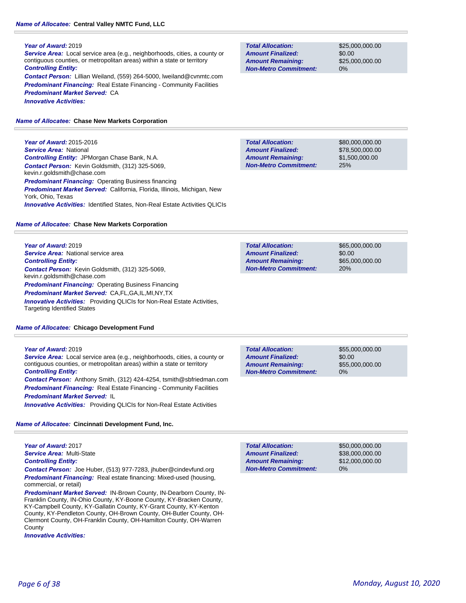### **Year of Award:** 2019

*Service Area:* Local service area (e.g., neighborhoods, cities, a county or contiguous counties, or metropolitan areas) within a state or territory *Controlling Entity: Contact Person:* Lillian Weiland, (559) 264-5000, lweiland@cvnmtc.com

**Predominant Financing:** Real Estate Financing - Community Facilities *Predominant Market Served:* CA *Innovative Activities:* 

### *Name of Allocatee:* **Chase New Markets Corporation**

**Year of Award:** 2015-2016 *Service Area:* National *Controlling Entity:* JPMorgan Chase Bank, N.A. *Contact Person:* Kevin Goldsmith, (312) 325-5069, kevin.r.goldsmith@chase.com **Predominant Financing: Operating Business financing** *Predominant Market Served:* California, Florida, Illinois, Michigan, New York, Ohio, Texas *Innovative Activities:* Identified States, Non-Real Estate Activities QLICIs

# *Name of Allocatee:* **Chase New Markets Corporation**

**Year of Award:** 2019 **Service Area:** National service area *Controlling Entity: Contact Person:* Kevin Goldsmith, (312) 325-5069, kevin.r.goldsmith@chase.com *Predominant Financing:* Operating Business Financing *Predominant Market Served:* CA,FL,GA,IL,MI,NY,TX *Innovative Activities:* Providing QLICIs for Non-Real Estate Activities, Targeting Identified States

# *Name of Allocatee:* **Chicago Development Fund**

# **Year of Award:** 2019

*Service Area:* Local service area (e.g., neighborhoods, cities, a county or contiguous counties, or metropolitan areas) within a state or territory *Controlling Entity:* 

*Contact Person:* Anthony Smith, (312) 424-4254, tsmith@sbfriedman.com **Predominant Financing:** Real Estate Financing - Community Facilities *Predominant Market Served:* IL

*Innovative Activities:* Providing QLICIs for Non-Real Estate Activities

# *Name of Allocatee:* **Cincinnati Development Fund, Inc.**

**Year of Award:** 2017 *Service Area:* Multi-State *Controlling Entity:* 

*Contact Person:* Joe Huber, (513) 977-7283, jhuber@cindevfund.org *Predominant Financing:* Real estate financing: Mixed-used (housing, commercial, or retail)

*Predominant Market Served:* IN-Brown County, IN-Dearborn County, IN-Franklin County, IN-Ohio County, KY-Boone County, KY-Bracken County, KY-Campbell County, KY-Gallatin County, KY-Grant County, KY-Kenton County, KY-Pendleton County, OH-Brown County, OH-Butler County, OH-Clermont County, OH-Franklin County, OH-Hamilton County, OH-Warren **County** 

*Innovative Activities:* 

**Total Allocation: Non-Metro Commitment: Amount Remaining: Amount Finalized:**

\$25,000,000.00 \$0.00 \$25,000,000.00 0%

\$80,000,000.00 \$78,500,000.00 \$1,500,000.00 25% **Total Allocation: Non-Metro Commitment: Amount Remaining: Amount Finalized:**

| <b>Total Allocation:</b>     | \$65,000,000.00 |
|------------------------------|-----------------|
| <b>Amount Finalized:</b>     | \$0.00          |
| <b>Amount Remaining:</b>     | \$65,000,000,00 |
| <b>Non-Metro Commitment:</b> | 20%             |

**Total Allocation: Non-Metro Commitment: Amount Remaining: Amount Finalized:**

\$55,000,000.00 \$0.00 \$55,000,000.00 0%

| <b>Total Allocation:</b>     | \$50,000,000,00 |
|------------------------------|-----------------|
| <b>Amount Finalized:</b>     | \$38,000,000,00 |
| <b>Amount Remaining:</b>     | \$12,000,000,00 |
| <b>Non-Metro Commitment:</b> | $0\%$           |
|                              |                 |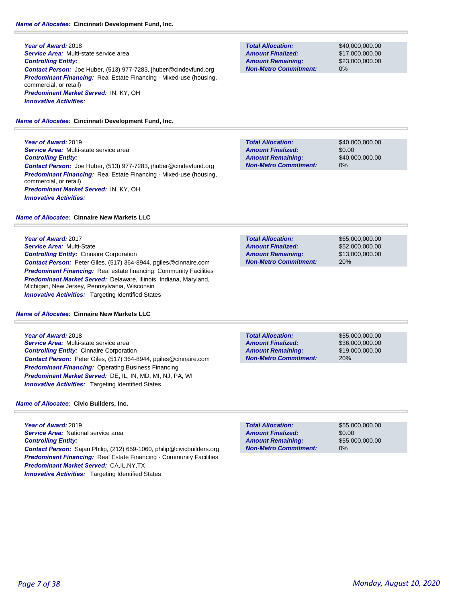#### *Name of Allocatee:* **Cincinnati Development Fund, Inc.**

**Year of Award:** 2018 *Service Area:* Multi-state service area *Controlling Entity: Contact Person:* Joe Huber, (513) 977-7283, jhuber@cindevfund.org *Predominant Financing:* Real Estate Financing - Mixed-use (housing, commercial, or retail) *Predominant Market Served:* IN, KY, OH *Innovative Activities:* 

*Name of Allocatee:* **Cincinnati Development Fund, Inc.**

**Year of Award:** 2019 *Service Area:* Multi-state service area *Controlling Entity: Contact Person:* Joe Huber, (513) 977-7283, jhuber@cindevfund.org *Predominant Financing:* Real Estate Financing - Mixed-use (housing, commercial, or retail) *Predominant Market Served:* IN, KY, OH *Innovative Activities:* 

*Name of Allocatee:* **Cinnaire New Markets LLC**

**Year of Award:** 2017 *Service Area:* Multi-State *Controlling Entity:* Cinnaire Corporation *Contact Person:* Peter Giles, (517) 364-8944, pgiles@cinnaire.com **Predominant Financing:** Real estate financing: Community Facilities *Predominant Market Served:* Delaware, Illinois, Indiana, Maryland, Michigan, New Jersey, Pennsylvania, Wisconsin **Innovative Activities:** Targeting Identified States

*Name of Allocatee:* **Cinnaire New Markets LLC**

**Year of Award:** 2018 *Service Area:* Multi-state service area *Controlling Entity:* Cinnaire Corporation *Contact Person:* Peter Giles, (517) 364-8944, pgiles@cinnaire.com *Predominant Financing:* Operating Business Financing *Predominant Market Served:* DE, IL, IN, MD, MI, NJ, PA, WI **Innovative Activities:** Targeting Identified States

#### *Name of Allocatee:* **Civic Builders, Inc.**

**Year of Award:** 2019 *Service Area:* National service area *Controlling Entity: Contact Person:* Sajan Philip, (212) 659-1060, philip@civicbuilders.org **Predominant Financing:** Real Estate Financing - Community Facilities *Predominant Market Served:* CA,IL,NY,TX *Innovative Activities:* Targeting Identified States

**Total Allocation: Non-Metro Commitment: Amount Remaining: Amount Finalized:**

\$40,000,000.00 \$17,000,000.00 \$23,000,000.00 0%

\$40,000,000.00 \$0.00 \$40,000,000.00 0% **Total Allocation: Non-Metro Commitment: Amount Remaining: Amount Finalized:**

\$65,000,000.00 \$52,000,000.00 20% **Total Allocation: Non-Metro Commitment: Amount Remaining: Amount Finalized:**

**Total Allocation: Non-Metro Commitment: Amount Remaining: Amount Finalized:**

\$55,000,000.00 \$36,000,000.00 \$19,000,000.00 20%

\$55,000,000.00 \$0.00 \$55,000,000.00 0% **Total Allocation: Non-Metro Commitment: Amount Remaining: Amount Finalized:**

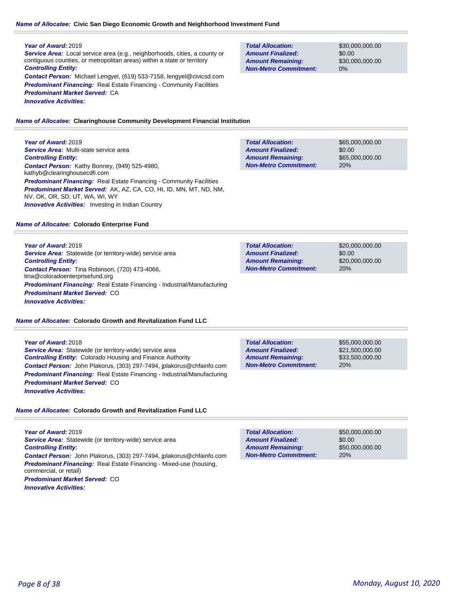# *Name of Allocatee:* **Civic San Diego Economic Growth and Neighborhood Investment Fund**

# **Year of Award:** 2019

*Service Area:* Local service area (e.g., neighborhoods, cities, a county or contiguous counties, or metropolitan areas) within a state or territory *Controlling Entity: Contact Person:* Michael Lengyel, (619) 533-7158, lengyel@civicsd.com **Predominant Financing:** Real Estate Financing - Community Facilities *Predominant Market Served:* CA

*Innovative Activities:* 

**Total Allocation: Non-Metro Commitment: Amount Remaining: Amount Finalized:**

\$30,000,000.00 \$0.00 \$30,000,000.00 0%

*Name of Allocatee:* **Clearinghouse Community Development Financial Institution**

# **Year of Award:** 2019

*Service Area:* Multi-state service area *Controlling Entity: Contact Person:* Kathy Bonney, (949) 525-4980, kathyb@clearinghousecdfi.com **Predominant Financing:** Real Estate Financing - Community Facilities *Predominant Market Served:* AK, AZ, CA, CO, HI, ID, MN, MT, ND, NM, NV, OK, OR, SD, UT, WA, WI, WY **Innovative Activities:** Investing in Indian Country

### *Name of Allocatee:* **Colorado Enterprise Fund**

**Year of Award:** 2019 **Service Area:** Statewide (or territory-wide) service area *Controlling Entity: Contact Person:* Tina Robinson, (720) 473-4066, tina@coloradoenterprisefund.org *Predominant Financing:* Real Estate Financing - Industrial/Manufacturing *Predominant Market Served:* CO *Innovative Activities:* 

*Name of Allocatee:* **Colorado Growth and Revitalization Fund LLC**

**Year of Award:** 2018 **Service Area:** Statewide (or territory-wide) service area *Controlling Entity:* Colorado Housing and Finance Authority *Contact Person:* John Plakorus, (303) 297-7494, jplakorus@chfainfo.com *Predominant Financing:* Real Estate Financing - Industrial/Manufacturing *Predominant Market Served:* CO *Innovative Activities:* 

*Name of Allocatee:* **Colorado Growth and Revitalization Fund LLC**

**Year of Award:** 2019 Service Area: Statewide (or territory-wide) service area *Controlling Entity: Contact Person:* John Plakorus, (303) 297-7494, jplakorus@chfainfo.com *Predominant Financing:* Real Estate Financing - Mixed-use (housing, commercial, or retail) *Predominant Market Served:* CO *Innovative Activities:* 

| <b>Total Allocation:</b>     | \$65,000,000,00 |
|------------------------------|-----------------|
| <b>Amount Finalized:</b>     | \$0.00          |
| <b>Amount Remaining:</b>     | \$65,000,000,00 |
| <b>Non-Metro Commitment:</b> | 20%             |

| <b>Total Allocation:</b>     | \$20,000,000,00 |
|------------------------------|-----------------|
| <b>Amount Finalized:</b>     | \$0.00          |
| <b>Amount Remaining:</b>     | \$20,000,000,00 |
| <b>Non-Metro Commitment:</b> | 20%             |

| <b>Total Allocation:</b>     | \$55,000,000,00 |
|------------------------------|-----------------|
| <b>Amount Finalized:</b>     | \$21,500,000,00 |
| <b>Amount Remaining:</b>     | \$33,500,000,00 |
| <b>Non-Metro Commitment:</b> | 20%             |

| <b>Total Allocation:</b>     | \$50,000,000,00 |
|------------------------------|-----------------|
| <b>Amount Finalized:</b>     | \$0.00          |
| <b>Amount Remaining:</b>     | \$50,000,000,00 |
| <b>Non-Metro Commitment:</b> | 20%             |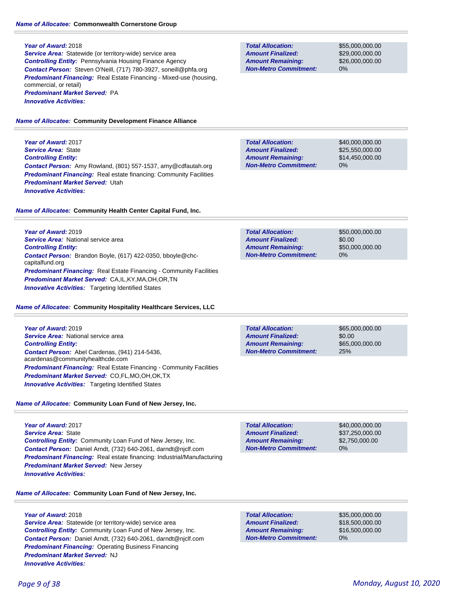#### **Year of Award:** 2018

**Service Area:** Statewide (or territory-wide) service area *Controlling Entity:* Pennsylvania Housing Finance Agency *Contact Person:* Steven O'Neill, (717) 780-3927, soneill@phfa.org **Predominant Financing:** Real Estate Financing - Mixed-use (housing, commercial, or retail) *Predominant Market Served:* PA *Innovative Activities:* 

### *Name of Allocatee:* **Community Development Finance Alliance**

**Year of Award:** 2017 *Service Area:* State *Controlling Entity: Contact Person:* Amy Rowland, (801) 557-1537, amy@cdfautah.org **Predominant Financing:** Real estate financing: Community Facilities *Predominant Market Served:* Utah *Innovative Activities:* 

#### *Name of Allocatee:* **Community Health Center Capital Fund, Inc.**

**Year of Award:** 2019 *Service Area:* National service area *Controlling Entity: Contact Person:* Brandon Boyle, (617) 422-0350, bboyle@chccapitalfund.org **Predominant Financing:** Real Estate Financing - Community Facilities *Predominant Market Served:* CA,IL,KY,MA,OH,OR,TN **Innovative Activities:** Targeting Identified States

#### *Name of Allocatee:* **Community Hospitality Healthcare Services, LLC**

| Year of Award: 2019                                                                       |
|-------------------------------------------------------------------------------------------|
| <b>Service Area:</b> National service area                                                |
| <b>Controlling Entity:</b>                                                                |
| <b>Contact Person:</b> Abel Cardenas, (941) 214-5436,<br>acardenas@communityhealthcde.com |
| <b>Predominant Financing:</b> Real Estate Financing - Community Facilities                |
| <b>Predominant Market Served: CO,FL,MO,OH,OK,TX</b>                                       |
| <b>Innovative Activities:</b> Targeting Identified States                                 |

# *Name of Allocatee:* **Community Loan Fund of New Jersey, Inc.**

**Year of Award:** 2017 *Service Area:* State *Controlling Entity:* Community Loan Fund of New Jersey, Inc. *Contact Person:* Daniel Arndt, (732) 640-2061, darndt@njclf.com *Predominant Financing:* Real estate financing: Industrial/Manufacturing *Predominant Market Served:* New Jersey *Innovative Activities:* 

# *Name of Allocatee:* **Community Loan Fund of New Jersey, Inc.**

### **Year of Award:** 2018

**Service Area:** Statewide (or territory-wide) service area *Controlling Entity:* Community Loan Fund of New Jersey, Inc. *Contact Person:* Daniel Arndt, (732) 640-2061, darndt@njclf.com **Predominant Financing: Operating Business Financing** *Predominant Market Served:* NJ *Innovative Activities:* 

**Total Allocation: Non-Metro Commitment: Amount Remaining: Amount Finalized:**

\$55,000,000.00 \$29,000,000.00 \$26,000,000.00 0%

\$40,000,000.00 \$25,550,000.00 \$14,450,000.00 0% **Total Allocation: Non-Metro Commitment: Amount Remaining: Amount Finalized:**

| <b>Total Allocation:</b>     | \$50,000,000,00 |
|------------------------------|-----------------|
| <b>Amount Finalized:</b>     | \$0.00          |
| <b>Amount Remaining:</b>     | \$50,000,000,00 |
| <b>Non-Metro Commitment:</b> | $0\%$           |

\$65,000,000.00 \$0.00 \$65,000,000.00 25% **Total Allocation: Non-Metro Commitment: Amount Remaining: Amount Finalized:**

0% **Total Allocation: Non-Metro Commitment: Amount Remaining: Amount Finalized:**

\$40,000,000.00 \$37,250,000.00 \$2,750,000.00

**Total Allocation: Non-Metro Commitment: Amount Remaining: Amount Finalized:**

\$35,000,000.00 \$18,500,000.00 \$16,500,000.00 0%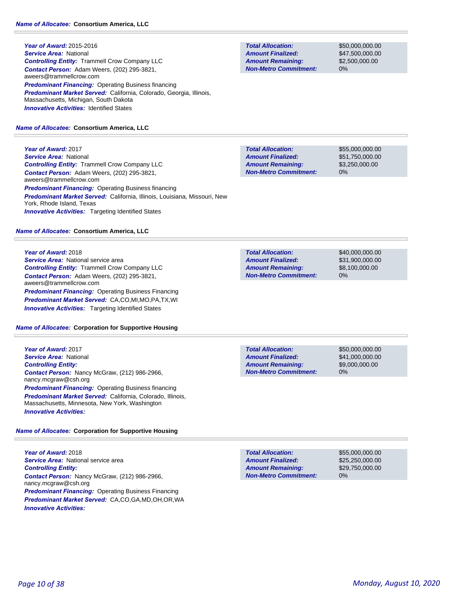**Year of Award:** 2015-2016 *Service Area:* National *Controlling Entity:* Trammell Crow Company LLC *Contact Person:* Adam Weers, (202) 295-3821, aweers@trammellcrow.com **Predominant Financing: Operating Business financing** *Predominant Market Served:* California, Colorado, Georgia, Illinois, Massachusetts, Michigan, South Dakota **Innovative Activities: Identified States** 

# *Name of Allocatee:* **Consortium America, LLC**

**Year of Award:** 2017 *Service Area:* National *Controlling Entity:* Trammell Crow Company LLC *Contact Person:* Adam Weers, (202) 295-3821, aweers@trammellcrow.com **Predominant Financing: Operating Business financing** *Predominant Market Served:* California, Illinois, Louisiana, Missouri, New York, Rhode Island, Texas **Innovative Activities:** Targeting Identified States

# *Name of Allocatee:* **Consortium America, LLC**

### **Year of Award:** 2018

**Service Area:** National service area *Controlling Entity:* Trammell Crow Company LLC *Contact Person:* Adam Weers, (202) 295-3821, aweers@trammellcrow.com *Predominant Financing: Operating Business Financing Predominant Market Served:* CA,CO,MI,MO,PA,TX,WI *Innovative Activities:* Targeting Identified States

# *Name of Allocatee:* **Corporation for Supportive Housing**

**Year of Award:** 2017 *Service Area:* National *Controlling Entity: Contact Person:* Nancy McGraw, (212) 986-2966, nancy.mcgraw@csh.org *Predominant Financing: Operating Business financing Predominant Market Served:* California, Colorado, Illinois, Massachusetts, Minnesota, New York, Washington *Innovative Activities:* 

# *Name of Allocatee:* **Corporation for Supportive Housing**

**Year of Award:** 2018 **Service Area: National service area** *Controlling Entity: Contact Person:* Nancy McGraw, (212) 986-2966, nancy.mcgraw@csh.org **Predominant Financing: Operating Business Financing** *Predominant Market Served:* CA,CO,GA,MD,OH,OR,WA *Innovative Activities:* 

**Total Allocation: Non-Metro Commitment: Amount Remaining: Amount Finalized:**

\$50,000,000.00 \$47,500,000.00 \$2,500,000.00 0%

**Total Allocation: Non-Metro Commitment: Amount Remaining: Amount Finalized:**

\$55,000,000.00 \$51,750,000.00 \$3,250,000.00 0%

**Total Allocation: Non-Metro Commitment: Amount Remaining: Amount Finalized:**

\$40,000,000.00 \$31,900,000.00 \$8,100,000.00 0%

**Total Allocation: Non-Metro Commitment: Amount Remaining: Amount Finalized:**

\$50,000,000.00 \$41,000,000.00 \$9,000,000.00 0%

**Total Allocation: Non-Metro Commitment: Amount Remaining: Amount Finalized:**

\$55,000,000.00 \$25,250,000.00 \$29,750,000.00 0%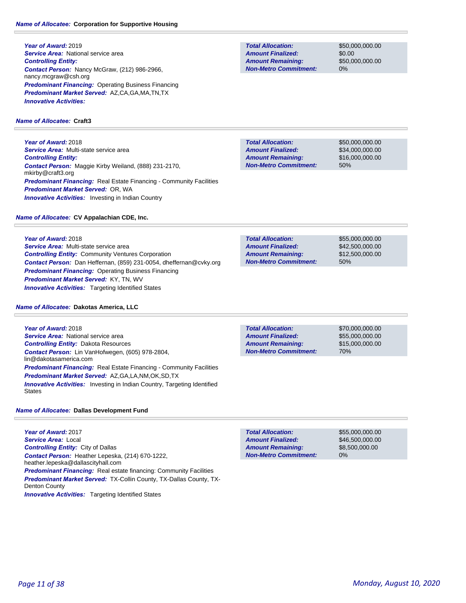**Year of Award:** 2019 **Service Area:** National service area *Controlling Entity: Contact Person:* Nancy McGraw, (212) 986-2966, nancy.mcgraw@csh.org **Predominant Financing: Operating Business Financing** *Predominant Market Served:* AZ,CA,GA,MA,TN,TX *Innovative Activities:* 

# *Name of Allocatee:* **Craft3**

**Year of Award:** 2018 *Service Area:* Multi-state service area *Controlling Entity: Contact Person:* Maggie Kirby Weiland, (888) 231-2170, mkirby@craft3.org **Predominant Financing:** Real Estate Financing - Community Facilities *Predominant Market Served:* OR, WA **Innovative Activities:** Investing in Indian Country

# *Name of Allocatee:* **CV Appalachian CDE, Inc.**

**Year of Award:** 2018 *Service Area:* Multi-state service area *Controlling Entity:* Community Ventures Corporation *Contact Person:* Dan Heffernan, (859) 231-0054, dheffernan@cvky.org *Predominant Financing:* Operating Business Financing *Predominant Market Served:* KY, TN, WV **Innovative Activities:** Targeting Identified States

# *Name of Allocatee:* **Dakotas America, LLC**

**Year of Award:** 2018 **Service Area:** National service area *Controlling Entity:* Dakota Resources *Contact Person:* Lin VanHofwegen, (605) 978-2804, lin@dakotasamerica.com **Predominant Financing:** Real Estate Financing - Community Facilities *Predominant Market Served:* AZ,GA,LA,NM,OK,SD,TX **Innovative Activities:** Investing in Indian Country, Targeting Identified States

# *Name of Allocatee:* **Dallas Development Fund**

**Year of Award:** 2017 *Service Area:* Local *Controlling Entity:* City of Dallas *Contact Person:* Heather Lepeska, (214) 670-1222, heather.lepeska@dallascityhall.com **Predominant Financing:** Real estate financing: Community Facilities *Predominant Market Served:* TX-Collin County, TX-Dallas County, TX-Denton County **Innovative Activities:** Targeting Identified States

**Total Allocation: Non-Metro Commitment: Amount Remaining: Amount Finalized:**

\$50,000,000.00 \$0.00 \$50,000,000.00 0%

\$50,000,000.00 \$34,000,000.00 \$16,000,000.00 50% **Total Allocation: Non-Metro Commitment: Amount Remaining: Amount Finalized:**

50% **Total Allocation: Non-Metro Commitment: Amount Remaining: Amount Finalized:**

\$55,000,000.00 \$42,500,000.00 \$12,500,000.00

70% **Total Allocation: Non-Metro Commitment: Amount Remaining: Amount Finalized:**

\$70,000,000.00 \$55,000,000.00 \$15,000,000.00

\$55,000,000.00 \$46,500,000.00 \$8,500,000.00 0% **Total Allocation: Non-Metro Commitment: Amount Remaining: Amount Finalized:**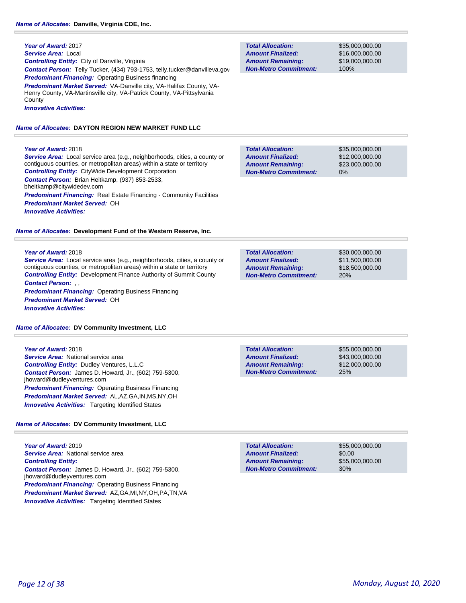### **Year of Award:** 2017 *Service Area:* Local *Controlling Entity:* City of Danville, Virginia *Contact Person:* Telly Tucker, (434) 793-1753, telly.tucker@danvilleva.gov **Predominant Financing: Operating Business financing** *Predominant Market Served:* VA-Danville city, VA-Halifax County, VA-Henry County, VA-Martinsville city, VA-Patrick County, VA-Pittsylvania **County**

*Innovative Activities:* 

# *Name of Allocatee:* **DAYTON REGION NEW MARKET FUND LLC**

### **Year of Award:** 2018

*Service Area:* Local service area (e.g., neighborhoods, cities, a county or contiguous counties, or metropolitan areas) within a state or territory *Controlling Entity:* CityWide Development Corporation *Contact Person:* Brian Heitkamp, (937) 853-2533, bheitkamp@citywidedev.com **Predominant Financing:** Real Estate Financing - Community Facilities *Predominant Market Served:* OH *Innovative Activities:* 

### *Name of Allocatee:* **Development Fund of the Western Reserve, Inc.**

### **Year of Award:** 2018

*Service Area:* Local service area (e.g., neighborhoods, cities, a county or contiguous counties, or metropolitan areas) within a state or territory *Controlling Entity:* Development Finance Authority of Summit County *Contact Person:* , , *Predominant Financing: Operating Business Financing Predominant Market Served:* OH *Innovative Activities:* 

### *Name of Allocatee:* **DV Community Investment, LLC**

### **Year of Award:** 2018

*Service Area:* National service area *Controlling Entity:* Dudley Ventures, L.L.C *Contact Person:* James D. Howard, Jr., (602) 759-5300, jhoward@dudleyventures.com *Predominant Financing: Operating Business Financing Predominant Market Served:* AL,AZ,GA,IN,MS,NY,OH *Innovative Activities:* Targeting Identified States

# *Name of Allocatee:* **DV Community Investment, LLC**

**Year of Award:** 2019 **Service Area:** National service area *Controlling Entity: Contact Person:* James D. Howard, Jr., (602) 759-5300, jhoward@dudleyventures.com *Predominant Financing: Operating Business Financing Predominant Market Served:* AZ,GA,MI,NY,OH,PA,TN,VA **Innovative Activities:** Targeting Identified States

**Total Allocation: Non-Metro Commitment: Amount Remaining: Amount Finalized:**

\$35,000,000.00 \$16,000,000.00 \$19,000,000.00 100%

\$35,000,000.00 \$12,000,000.00 \$23,000,000.00 0% **Total Allocation: Non-Metro Commitment: Amount Remaining: Amount Finalized:**

\$30,000,000.00 \$11,500,000.00 \$18,500,000.00 20% **Total Allocation: Non-Metro Commitment: Amount Remaining: Amount Finalized:**

**Total Allocation: Non-Metro Commitment: Amount Remaining: Amount Finalized:**

\$55,000,000.00 \$43,000,000.00 \$12,000,000.00 25%

\$55,000,000.00 \$0.00 \$55,000,000.00 30% **Total Allocation: Non-Metro Commitment: Amount Remaining: Amount Finalized:**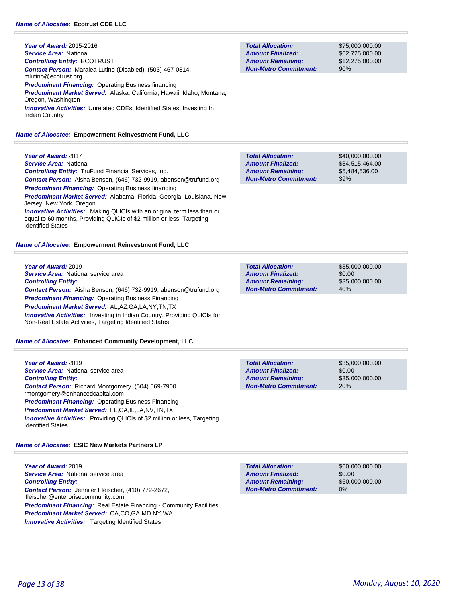**Year of Award:** 2015-2016 *Service Area:* National *Controlling Entity:* ECOTRUST *Contact Person:* Maralea Lutino (Disabled), (503) 467-0814, mlutino@ecotrust.org **Predominant Financing: Operating Business financing** *Predominant Market Served:* Alaska, California, Hawaii, Idaho, Montana, Oregon, Washington *Innovative Activities:* Unrelated CDEs, Identified States, Investing In Indian Country

#### *Name of Allocatee:* **Empowerment Reinvestment Fund, LLC**

**Total Allocation: Non-Metro Commitment: Amount Remaining: Amount Finalized:**

\$75,000,000.00 \$62,725,000.00 \$12,275,000.00 90%

\$35,000,000.00 \$0.00

\$35,000,000.00

40%

| <b>Year of Award: 2017</b>                                                                       | <b>Total Allocation:</b>     | \$40,000,000.00 |
|--------------------------------------------------------------------------------------------------|------------------------------|-----------------|
| <b>Service Area: National</b>                                                                    | <b>Amount Finalized:</b>     | \$34,515,464.00 |
| <b>Controlling Entity:</b> TruFund Financial Services, Inc.                                      | <b>Amount Remaining:</b>     | \$5.484.536.00  |
| <b>Contact Person:</b> Aisha Benson, (646) 732-9919, abenson@trufund.org                         | <b>Non-Metro Commitment:</b> | 39%             |
| <b>Predominant Financing:</b> Operating Business financing                                       |                              |                 |
| Predominant Market Served: Alabama, Florida, Georgia, Louisiana, New<br>Jersey, New York, Oregon |                              |                 |

*Innovative Activities:* Making QLICIs with an original term less than or equal to 60 months, Providing QLICIs of \$2 million or less, Targeting Identified States

#### *Name of Allocatee:* **Empowerment Reinvestment Fund, LLC**

**Year of Award:** 2019 **Service Area:** National service area *Controlling Entity: Contact Person:* Aisha Benson, (646) 732-9919, abenson@trufund.org **Predominant Financing: Operating Business Financing** *Predominant Market Served:* AL,AZ,GA,LA,NY,TN,TX **Innovative Activities:** Investing in Indian Country, Providing QLICIs for

*Name of Allocatee:* **Enhanced Community Development, LLC**

Non-Real Estate Activities, Targeting Identified States

| Year of Award: 2019                                                                                          | <b>Total Allocation:</b>     | \$35,000,000.00 |
|--------------------------------------------------------------------------------------------------------------|------------------------------|-----------------|
| <b>Service Area:</b> National service area                                                                   | <b>Amount Finalized:</b>     | \$0.00          |
| <b>Controlling Entity:</b>                                                                                   | <b>Amount Remaining:</b>     | \$35,000,000.00 |
| <b>Contact Person:</b> Richard Montgomery, (504) 569-7900,<br>rmontgomery@enhancedcapital.com                | <b>Non-Metro Commitment:</b> | <b>20%</b>      |
|                                                                                                              |                              |                 |
| <b>Predominant Financing: Operating Business Financing</b>                                                   |                              |                 |
| <b>Predominant Market Served: FL,GA,IL,LA,NV,TN,TX</b>                                                       |                              |                 |
| <b>Innovative Activities:</b> Providing QLICIs of \$2 million or less, Targeting<br><b>Identified States</b> |                              |                 |

*Name of Allocatee:* **ESIC New Markets Partners LP**

**Year of Award:** 2019 *Service Area:* National service area *Controlling Entity: Contact Person:* Jennifer Fleischer, (410) 772-2672, jfleischer@enterprisecommunity.com **Predominant Financing:** Real Estate Financing - Community Facilities *Predominant Market Served:* CA,CO,GA,MD,NY,WA **Innovative Activities:** Targeting Identified States

**Total Allocation: Non-Metro Commitment: Amount Remaining: Amount Finalized:**

**Total Allocation:**

**Non-Metro Commitment: Amount Remaining: Amount Finalized:**

> \$60,000,000.00 \$0.00 \$60,000,000.00 0%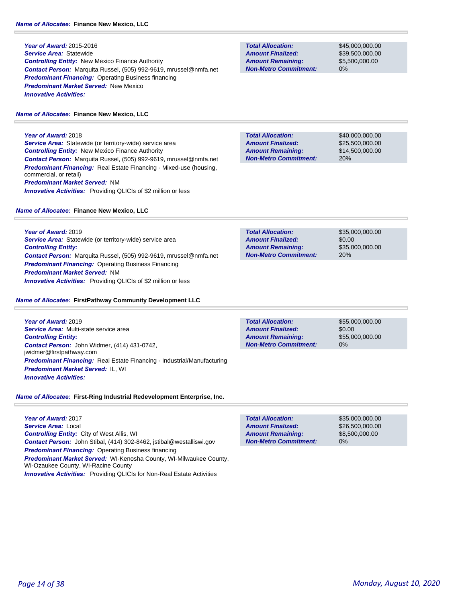**Year of Award:** 2015-2016 *Service Area:* Statewide *Controlling Entity:* New Mexico Finance Authority *Contact Person:* Marquita Russel, (505) 992-9619, mrussel@nmfa.net *Predominant Financing:* Operating Business financing *Predominant Market Served:* New Mexico *Innovative Activities:* 

#### *Name of Allocatee:* **Finance New Mexico, LLC**

**Year of Award:** 2018 *Service Area:* Statewide (or territory-wide) service area *Controlling Entity:* New Mexico Finance Authority *Contact Person:* Marquita Russel, (505) 992-9619, mrussel@nmfa.net *Predominant Financing:* Real Estate Financing - Mixed-use (housing, commercial, or retail) *Predominant Market Served:* NM **Innovative Activities:** Providing QLICIs of \$2 million or less

### *Name of Allocatee:* **Finance New Mexico, LLC**

**Year of Award:** 2019 *Service Area:* Statewide (or territory-wide) service area *Controlling Entity: Contact Person:* Marquita Russel, (505) 992-9619, mrussel@nmfa.net *Predominant Financing:* Operating Business Financing *Predominant Market Served:* NM *Innovative Activities:* Providing QLICIs of \$2 million or less

### *Name of Allocatee:* **FirstPathway Community Development LLC**

**Year of Award:** 2019 *Service Area:* Multi-state service area *Controlling Entity: Contact Person:* John Widmer, (414) 431-0742, jwidmer@firstpathway.com *Predominant Financing:* Real Estate Financing - Industrial/Manufacturing *Predominant Market Served:* IL, WI *Innovative Activities:* 

# *Name of Allocatee:* **First-Ring Industrial Redevelopment Enterprise, Inc.**

**Year of Award:** 2017 *Service Area:* Local *Controlling Entity:* City of West Allis, WI *Contact Person:* John Stibal, (414) 302-8462, jstibal@westalliswi.gov *Predominant Financing: Operating Business financing Predominant Market Served:* WI-Kenosha County, WI-Milwaukee County, WI-Ozaukee County, WI-Racine County *Innovative Activities:* Providing QLICIs for Non-Real Estate Activities

**Total Allocation: Non-Metro Commitment: Amount Remaining: Amount Finalized:**

\$45,000,000.00 \$39,500,000.00 \$5,500,000.00 0%

**Total Allocation: Non-Metro Commitment: Amount Remaining: Amount Finalized:**

\$40,000,000.00 \$25,500,000.00 \$14,500,000.00 20%

\$35,000,000.00 \$0.00 \$35,000,000.00 20% **Total Allocation: Non-Metro Commitment: Amount Remaining: Amount Finalized:**

\$0.00 0% **Total Allocation: Non-Metro Commitment: Amount Remaining: Amount Finalized:**

\$55,000,000.00 \$55,000,000.00

**Total Allocation: Non-Metro Commitment: Amount Remaining: Amount Finalized:**

\$35,000,000.00 \$26,500,000.00 \$8,500,000.00 0%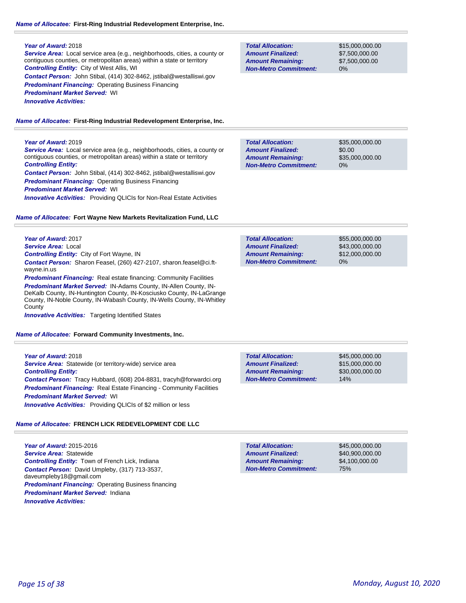# *Name of Allocatee:* **First-Ring Industrial Redevelopment Enterprise, Inc.**

### **Year of Award:** 2018

*Service Area:* Local service area (e.g., neighborhoods, cities, a county or contiguous counties, or metropolitan areas) within a state or territory *Controlling Entity:* City of West Allis, WI *Contact Person:* John Stibal, (414) 302-8462, jstibal@westalliswi.gov

**Predominant Financing: Operating Business Financing** 

*Predominant Market Served:* WI

*Innovative Activities:* 

*Name of Allocatee:* **First-Ring Industrial Redevelopment Enterprise, Inc.**

# **Year of Award:** 2019

*Service Area:* Local service area (e.g., neighborhoods, cities, a county or contiguous counties, or metropolitan areas) within a state or territory *Controlling Entity:* 

*Contact Person:* John Stibal, (414) 302-8462, jstibal@westalliswi.gov **Predominant Financing: Operating Business Financing** 

*Predominant Market Served:* WI

*Innovative Activities:* Providing QLICIs for Non-Real Estate Activities

# *Name of Allocatee:* **Fort Wayne New Markets Revitalization Fund, LLC**

**Year of Award:** 2017 *Service Area:* Local *Controlling Entity:* City of Fort Wayne, IN

*Contact Person:* Sharon Feasel, (260) 427-2107, sharon.feasel@ci.ftwayne.in.us

**Predominant Financing:** Real estate financing: Community Facilities

*Predominant Market Served:* IN-Adams County, IN-Allen County, IN-DeKalb County, IN-Huntington County, IN-Kosciusko County, IN-LaGrange County, IN-Noble County, IN-Wabash County, IN-Wells County, IN-Whitley **County** 

**Innovative Activities:** Targeting Identified States

*Name of Allocatee:* **Forward Community Investments, Inc.**

**Year of Award:** 2018 **Service Area:** Statewide (or territory-wide) service area *Controlling Entity: Contact Person:* Tracy Hubbard, (608) 204-8831, tracyh@forwardci.org **Predominant Financing:** Real Estate Financing - Community Facilities *Predominant Market Served:* WI *Innovative Activities:* Providing QLICIs of \$2 million or less

# *Name of Allocatee:* **FRENCH LICK REDEVELOPMENT CDE LLC**

**Year of Award:** 2015-2016 *Service Area:* Statewide *Controlling Entity:* Town of French Lick, Indiana *Contact Person:* David Umpleby, (317) 713-3537, daveumpleby18@gmail.com *Predominant Financing: Operating Business financing Predominant Market Served:* Indiana *Innovative Activities:* 

**Non-Metro Commitment: Amount Remaining: Amount Finalized:**

**Total Allocation:**

**Total Allocation: Non-Metro Commitment: Amount Remaining: Amount Finalized:**

\$15,000,000.00 \$7,500,000.00 \$7,500,000.00 0%

\$35,000,000.00 \$0.00 \$35,000,000.00 0% **Total Allocation: Non-Metro Commitment: Amount Remaining: Amount Finalized:**

\$55,000,000.00 \$43,000,000.00 \$12,000,000.00 0% **Total Allocation: Non-Metro Commitment: Amount Remaining: Amount Finalized:**

\$45,000,000.00 \$15,000,000.00 \$30,000,000.00 14% **Total Allocation: Non-Metro Commitment: Amount Remaining: Amount Finalized:**

> \$45,000,000.00 \$40,900,000.00 \$4,100,000.00

75%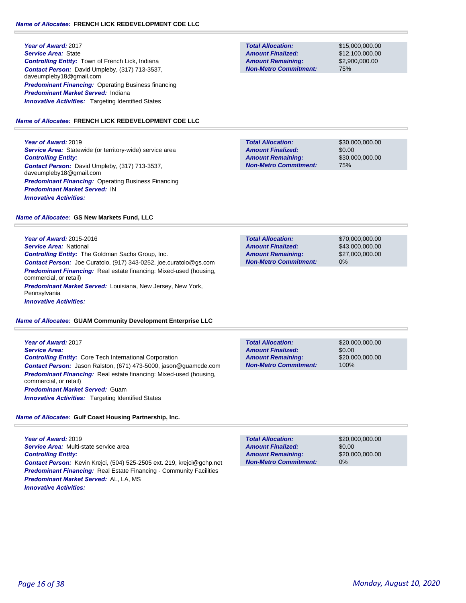**Year of Award:** 2017 *Service Area:* State *Controlling Entity:* Town of French Lick, Indiana *Contact Person:* David Umpleby, (317) 713-3537, daveumpleby18@gmail.com **Predominant Financing: Operating Business financing** *Predominant Market Served:* Indiana **Innovative Activities:** Targeting Identified States

# *Name of Allocatee:* **FRENCH LICK REDEVELOPMENT CDE LLC**

**Year of Award:** 2019 **Service Area:** Statewide (or territory-wide) service area *Controlling Entity: Contact Person:* David Umpleby, (317) 713-3537, daveumpleby18@gmail.com **Predominant Financing: Operating Business Financing** *Predominant Market Served:* IN *Innovative Activities:* 

# *Name of Allocatee:* **GS New Markets Fund, LLC**

**Year of Award:** 2015-2016 *Service Area:* National *Controlling Entity:* The Goldman Sachs Group, Inc. *Contact Person:* Joe Curatolo, (917) 343-0252, joe.curatolo@gs.com *Predominant Financing:* Real estate financing: Mixed-used (housing, commercial, or retail) *Predominant Market Served:* Louisiana, New Jersey, New York, Pennsylvania

*Innovative Activities:* 

# *Name of Allocatee:* **GUAM Community Development Enterprise LLC**

**Year of Award:** 2017 *Service Area: Controlling Entity:* Core Tech International Corporation *Contact Person:* Jason Ralston, (671) 473-5000, jason@guamcde.com **Predominant Financing:** Real estate financing: Mixed-used (housing, commercial, or retail) *Predominant Market Served:* Guam *Innovative Activities:* Targeting Identified States

# *Name of Allocatee:* **Gulf Coast Housing Partnership, Inc.**

**Year of Award:** 2019 *Service Area:* Multi-state service area *Controlling Entity: Contact Person:* Kevin Krejci, (504) 525-2505 ext. 219, krejci@gchp.net **Predominant Financing:** Real Estate Financing - Community Facilities *Predominant Market Served:* AL, LA, MS *Innovative Activities:* 

**Total Allocation: Non-Metro Commitment: Amount Remaining: Amount Finalized:**

\$15,000,000.00 \$12,100,000.00 \$2,900,000.00 75%

\$30,000,000.00 \$0.00 \$30,000,000.00 75% **Total Allocation: Non-Metro Commitment: Amount Remaining: Amount Finalized:**

\$70,000,000.00 \$43,000,000.00 \$27,000,000.00 0% **Total Allocation: Non-Metro Commitment: Amount Remaining: Amount Finalized:**

\$20,000,000.00 \$0.00 \$20,000,000.00 100% **Total Allocation: Non-Metro Commitment: Amount Remaining: Amount Finalized:**

**Total Allocation: Non-Metro Commitment: Amount Remaining: Amount Finalized:**

\$20,000,000.00 \$0.00 \$20,000,000.00 0%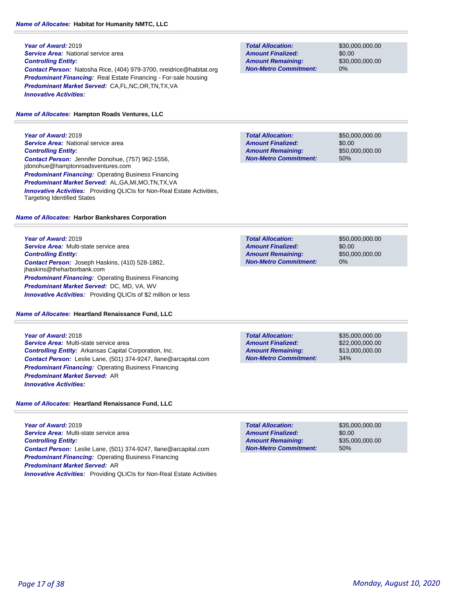# *Name of Allocatee:* **Habitat for Humanity NMTC, LLC**

**Year of Award:** 2019 **Service Area:** National service area *Controlling Entity: Contact Person:* Natosha Rice, (404) 979-3700, nreidrice@habitat.org *Predominant Financing:* Real Estate Financing - For-sale housing *Predominant Market Served:* CA,FL,NC,OR,TN,TX,VA *Innovative Activities:* 

# *Name of Allocatee:* **Hampton Roads Ventures, LLC**

**Year of Award:** 2019 **Service Area: National service area** *Controlling Entity: Contact Person:* Jennifer Donohue, (757) 962-1556, jdonohue@hamptonroadsventures.com *Predominant Financing:* Operating Business Financing *Predominant Market Served:* AL,GA,MI,MO,TN,TX,VA **Innovative Activities:** Providing QLICIs for Non-Real Estate Activities, Targeting Identified States

# *Name of Allocatee:* **Harbor Bankshares Corporation**

**Year of Award:** 2019 *Service Area:* Multi-state service area *Controlling Entity: Contact Person:* Joseph Haskins, (410) 528-1882, jhaskins@theharborbank.com *Predominant Financing: Operating Business Financing Predominant Market Served:* DC, MD, VA, WV *Innovative Activities:* Providing QLICIs of \$2 million or less

*Name of Allocatee:* **Heartland Renaissance Fund, LLC**

# **Year of Award:** 2018 *Service Area:* Multi-state service area *Controlling Entity:* Arkansas Capital Corporation, Inc. *Contact Person:* Leslie Lane, (501) 374-9247, llane@arcapital.com *Predominant Financing:* Operating Business Financing

*Name of Allocatee:* **Heartland Renaissance Fund, LLC**

*Predominant Market Served:* AR

*Innovative Activities:* 

**Year of Award:** 2019 *Service Area:* Multi-state service area *Controlling Entity: Contact Person:* Leslie Lane, (501) 374-9247, llane@arcapital.com *Predominant Financing:* Operating Business Financing *Predominant Market Served:* AR *Innovative Activities:* Providing QLICIs for Non-Real Estate Activities

**Total Allocation: Non-Metro Commitment: Amount Remaining: Amount Finalized:**

\$30,000,000.00 \$0.00 \$30,000,000.00 0%

**Total Allocation: Non-Metro Commitment: Amount Remaining: Amount Finalized:**

\$50,000,000.00 \$0.00 \$50,000,000.00 50%

**Total Allocation: Non-Metro Commitment: Amount Remaining: Amount Finalized:**

\$50,000,000.00 \$0.00 \$50,000,000.00 0%

**Total Allocation: Non-Metro Commitment: Amount Remaining: Amount Finalized:**

\$35,000,000.00 \$22,000,000.00 \$13,000,000.00 34%

\$35,000,000.00 \$0.00 \$35,000,000.00 50% **Total Allocation: Non-Metro Commitment: Amount Remaining: Amount Finalized:**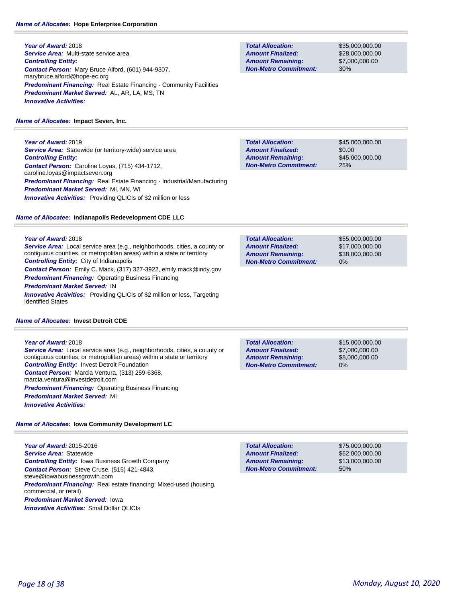**Year of Award:** 2018 *Service Area:* Multi-state service area *Controlling Entity: Contact Person:* Mary Bruce Alford, (601) 944-9307, marybruce.alford@hope-ec.org **Predominant Financing:** Real Estate Financing - Community Facilities *Predominant Market Served:* AL, AR, LA, MS, TN *Innovative Activities:* 

### *Name of Allocatee:* **Impact Seven, Inc.**

**Year of Award:** 2019 *Service Area:* Statewide (or territory-wide) service area *Controlling Entity: Contact Person:* Caroline Loyas, (715) 434-1712, caroline.loyas@impactseven.org *Predominant Financing:* Real Estate Financing - Industrial/Manufacturing *Predominant Market Served:* MI, MN, WI **Innovative Activities:** Providing QLICIs of \$2 million or less

### *Name of Allocatee:* **Indianapolis Redevelopment CDE LLC**

**Year of Award:** 2018

*Service Area:* Local service area (e.g., neighborhoods, cities, a county or contiguous counties, or metropolitan areas) within a state or territory *Controlling Entity:* City of Indianapolis *Contact Person:* Emily C. Mack, (317) 327-3922, emily.mack@indy.gov

*Predominant Financing: Operating Business Financing* 

#### *Predominant Market Served:* IN

**Innovative Activities:** Providing QLICIs of \$2 million or less, Targeting Identified States

#### *Name of Allocatee:* **Invest Detroit CDE**

**Year of Award:** 2018

*Service Area:* Local service area (e.g., neighborhoods, cities, a county or contiguous counties, or metropolitan areas) within a state or territory *Controlling Entity:* Invest Detroit Foundation *Contact Person:* Marcia Ventura, (313) 259-6368, marcia.ventura@investdetroit.com **Predominant Financing: Operating Business Financing** *Predominant Market Served:* MI *Innovative Activities:* 

*Name of Allocatee:* **Iowa Community Development LC**

**Year of Award:** 2015-2016 *Service Area:* Statewide *Controlling Entity:* Iowa Business Growth Company *Contact Person:* Steve Cruse, (515) 421-4843, steve@iowabusinessgrowth.com **Predominant Financing:** Real estate financing: Mixed-used (housing, commercial, or retail) *Predominant Market Served:* Iowa *Innovative Activities:* Smal Dollar QLICIs

**Total Allocation: Non-Metro Commitment: Amount Remaining: Amount Finalized:**

\$35,000,000.00 \$28,000,000.00 \$7,000,000.00 30%

\$45,000,000.00 \$0.00 \$45,000,000.00 25% **Total Allocation: Non-Metro Commitment: Amount Remaining: Amount Finalized:**

**Total Allocation: Non-Metro Commitment: Amount Remaining: Amount Finalized:**

\$55,000,000.00 \$17,000,000.00 \$38,000,000.00 0%

**Total Allocation: Non-Metro Commitment: Amount Remaining: Amount Finalized:**

\$15,000,000.00 \$7,000,000.00 \$8,000,000.00 0%

\$75,000,000.00 \$62,000,000.00 \$13,000,000.00 50% **Total Allocation: Non-Metro Commitment: Amount Remaining: Amount Finalized:**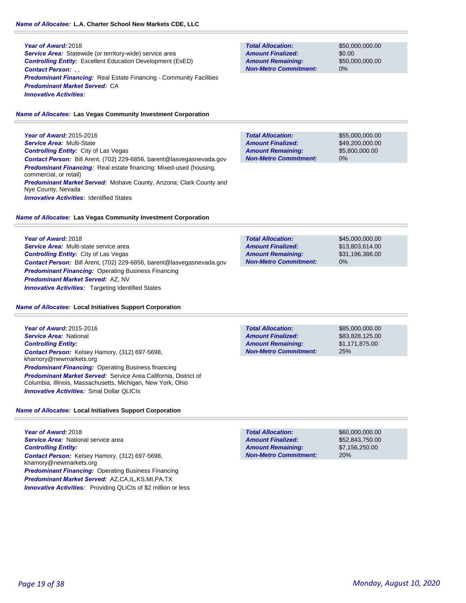### **Year of Award:** 2018 **Service Area:** Statewide (or territory-wide) service area *Controlling Entity:* Excellent Education Development (ExED) *Contact Person:* , , **Predominant Financing:** Real Estate Financing - Community Facilities *Predominant Market Served:* CA *Innovative Activities:*

# *Name of Allocatee:* **Las Vegas Community Investment Corporation**

**Year of Award:** 2015-2016 *Service Area:* Multi-State *Controlling Entity:* City of Las Vegas *Contact Person:* Bill Arent, (702) 229-6856, barent@lasvegasnevada.gov *Predominant Financing:* Real estate financing: Mixed-used (housing, commercial, or retail) *Predominant Market Served:* Mohave County, Arizona; Clark County and Nye County, Nevada **Innovative Activities: Identified States** 

# *Name of Allocatee:* **Las Vegas Community Investment Corporation**

**Year of Award:** 2018 *Service Area:* Multi-state service area *Controlling Entity:* City of Las Vegas *Contact Person:* Bill Arent, (702) 229-6856, barent@lasvegasnevada.gov *Predominant Financing:* Operating Business Financing *Predominant Market Served:* AZ, NV **Innovative Activities:** Targeting Identified States

# *Name of Allocatee:* **Local Initiatives Support Corporation**

**Year of Award:** 2015-2016 *Service Area:* National *Controlling Entity: Contact Person:* Kelsey Hamory, (312) 697-5698, khamory@newmarkets.org *Predominant Financing:* Operating Business financing *Predominant Market Served:* Service Area California, District of Columbia, Illinois, Massachusetts, Michigan, New York, Ohio *Innovative Activities:* Smal Dollar QLICIs

# *Name of Allocatee:* **Local Initiatives Support Corporation**

**Year of Award:** 2018 **Service Area: National service area** *Controlling Entity: Contact Person:* Kelsey Hamory, (312) 697-5698, khamory@newmarkets.org *Predominant Financing:* Operating Business Financing *Predominant Market Served:* AZ,CA,IL,KS,MI,PA,TX **Innovative Activities:** Providing QLICIs of \$2 million or less

**Total Allocation: Non-Metro Commitment: Amount Remaining: Amount Finalized:**

\$50,000,000.00 \$0.00 \$50,000,000.00 0%

**Total Allocation: Non-Metro Commitment: Amount Remaining: Amount Finalized:**

\$55,000,000.00 \$49,200,000.00 \$5,800,000.00 0%

\$45,000,000.00 \$13,803,614.00 \$31,196,386.00 0% **Total Allocation: Non-Metro Commitment: Amount Remaining: Amount Finalized:**

**Non-Metro Commitment:**

\$85,000,000.00 \$83,828,125.00 \$1,171,875.00 **Total Allocation: Amount Remaining: Amount Finalized:**

25%

\$60,000,000.00 \$52,843,750.00 \$7,156,250.00 20% **Total Allocation: Non-Metro Commitment: Amount Remaining: Amount Finalized:**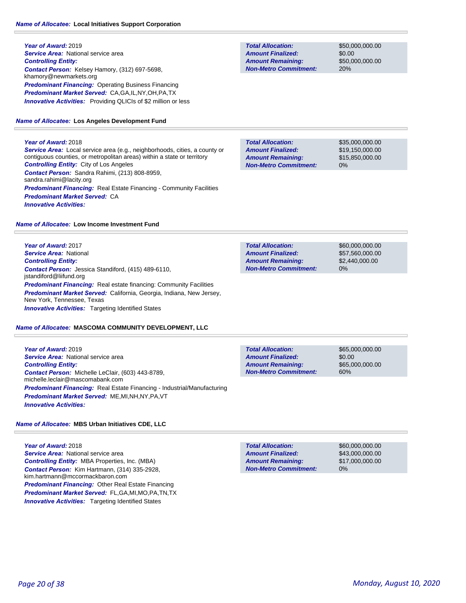# *Name of Allocatee:* **Local Initiatives Support Corporation**

**Year of Award:** 2019 **Service Area:** National service area *Controlling Entity: Contact Person:* Kelsey Hamory, (312) 697-5698, khamory@newmarkets.org *Predominant Financing:* Operating Business Financing *Predominant Market Served:* CA,GA,IL,NY,OH,PA,TX *Innovative Activities:* Providing QLICIs of \$2 million or less

# *Name of Allocatee:* **Los Angeles Development Fund**

### **Year of Award:** 2018

*Service Area:* Local service area (e.g., neighborhoods, cities, a county or contiguous counties, or metropolitan areas) within a state or territory *Controlling Entity:* City of Los Angeles *Contact Person:* Sandra Rahimi, (213) 808-8959, sandra.rahimi@lacity.org **Predominant Financing:** Real Estate Financing - Community Facilities *Predominant Market Served:* CA *Innovative Activities:* 

### *Name of Allocatee:* **Low Income Investment Fund**

**Year of Award:** 2017 *Service Area:* National *Controlling Entity: Contact Person:* Jessica Standiford, (415) 489-6110, jstandiford@liifund.org **Predominant Financing:** Real estate financing: Community Facilities *Predominant Market Served:* California, Georgia, Indiana, New Jersey, New York, Tennessee, Texas *Innovative Activities:* Targeting Identified States

### *Name of Allocatee:* **MASCOMA COMMUNITY DEVELOPMENT, LLC**

**Year of Award:** 2019 *Service Area:* National service area *Controlling Entity: Contact Person:* Michelle LeClair, (603) 443-8789, michelle.leclair@mascomabank.com *Predominant Financing:* Real Estate Financing - Industrial/Manufacturing *Predominant Market Served:* ME,MI,NH,NY,PA,VT *Innovative Activities:* 

### *Name of Allocatee:* **MBS Urban Initiatives CDE, LLC**

**Year of Award:** 2018 **Service Area:** National service area *Controlling Entity:* MBA Properties, Inc. (MBA) *Contact Person:* Kim Hartmann, (314) 335-2928, kim.hartmann@mccormackbaron.com *Predominant Financing:* Other Real Estate Financing *Predominant Market Served:* FL,GA,MI,MO,PA,TN,TX **Innovative Activities:** Targeting Identified States

**Total Allocation: Non-Metro Commitment: Amount Remaining: Amount Finalized:**

\$50,000,000.00 \$0.00 \$50,000,000.00 20%

\$35,000,000.00 \$19,150,000.00 \$15,850,000.00 0% **Total Allocation: Non-Metro Commitment: Amount Remaining: Amount Finalized:**

\$60,000,000.00 \$57,560,000.00 \$2,440,000.00 0% **Total Allocation: Non-Metro Commitment: Amount Remaining: Amount Finalized:**

**Total Allocation: Non-Metro Commitment: Amount Remaining: Amount Finalized:**

\$65,000,000.00 \$0.00 \$65,000,000.00 60%

\$60,000,000.00 \$43,000,000.00 \$17,000,000.00 0% **Total Allocation: Non-Metro Commitment: Amount Remaining: Amount Finalized:**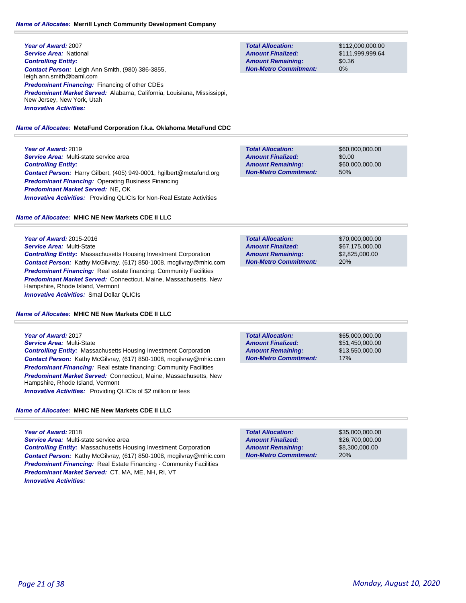# *Name of Allocatee:* **Merrill Lynch Community Development Company**

**Year of Award:** 2007 *Service Area:* National *Controlling Entity: Contact Person:* Leigh Ann Smith, (980) 386-3855, leigh.ann.smith@baml.com *Predominant Financing:* Financing of other CDEs *Predominant Market Served:* Alabama, California, Louisiana, Mississippi, New Jersey, New York, Utah *Innovative Activities:* 

# *Name of Allocatee:* **MetaFund Corporation f.k.a. Oklahoma MetaFund CDC**

**Year of Award:** 2019 *Service Area:* Multi-state service area *Controlling Entity: Contact Person:* Harry Gilbert, (405) 949-0001, hgilbert@metafund.org **Predominant Financing: Operating Business Financing** *Predominant Market Served:* NE, OK *Innovative Activities:* Providing QLICIs for Non-Real Estate Activities

# *Name of Allocatee:* **MHIC NE New Markets CDE II LLC**

**Year of Award:** 2015-2016 *Service Area:* Multi-State *Controlling Entity:* Massachusetts Housing Investment Corporation *Contact Person:* Kathy McGilvray, (617) 850-1008, mcgilvray@mhic.com **Predominant Financing:** Real estate financing: Community Facilities *Predominant Market Served:* Connecticut, Maine, Massachusetts, New Hampshire, Rhode Island, Vermont *Innovative Activities:* Smal Dollar QLICIs

# *Name of Allocatee:* **MHIC NE New Markets CDE II LLC**

**Year of Award:** 2017 *Service Area:* Multi-State *Controlling Entity:* Massachusetts Housing Investment Corporation *Contact Person:* Kathy McGilvray, (617) 850-1008, mcgilvray@mhic.com **Predominant Financing:** Real estate financing: Community Facilities *Predominant Market Served:* Connecticut, Maine, Massachusetts, New Hampshire, Rhode Island, Vermont *Innovative Activities:* Providing QLICIs of \$2 million or less

# *Name of Allocatee:* **MHIC NE New Markets CDE II LLC**

**Year of Award:** 2018 *Service Area:* Multi-state service area *Controlling Entity:* Massachusetts Housing Investment Corporation *Contact Person:* Kathy McGilvray, (617) 850-1008, mcgilvray@mhic.com **Predominant Financing:** Real Estate Financing - Community Facilities *Predominant Market Served:* CT, MA, ME, NH, RI, VT *Innovative Activities:* 

| <b>Total Allocation:</b>     | \$112, |
|------------------------------|--------|
| <b>Amount Finalized:</b>     | \$111  |
| <b>Amount Remaining:</b>     | \$0.36 |
| <b>Non-Metro Commitment:</b> | $0\%$  |

000,000.00 999.999.64

\$60,000,000.00 \$0.00 \$60,000,000.00 50% **Total Allocation: Non-Metro Commitment: Amount Remaining: Amount Finalized:**

**Total Allocation: Non-Metro Commitment: Amount Remaining: Amount Finalized:**

\$70,000,000.00 \$67,175,000.00 \$2,825,000.00 20%

17% **Total Allocation: Non-Metro Commitment: Amount Remaining: Amount Finalized:**

\$65,000,000.00 \$51,450,000.00 \$13,550,000.00

\$35,000,000.00 \$26,700,000.00 \$8,300,000.00 20% **Total Allocation: Non-Metro Commitment: Amount Remaining: Amount Finalized:**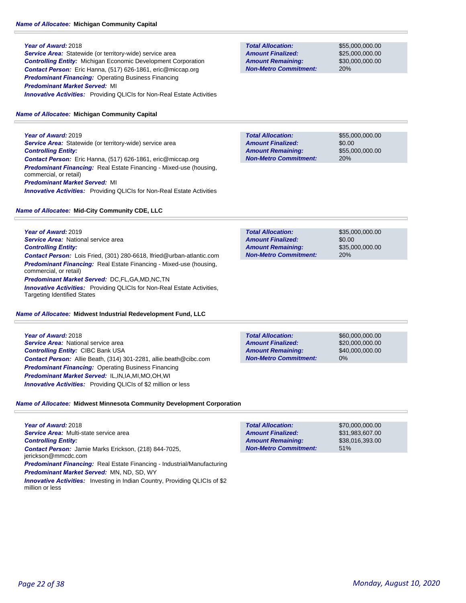# *Name of Allocatee:* **Michigan Community Capital**

### **Year of Award:** 2018

**Service Area:** Statewide (or territory-wide) service area *Controlling Entity:* Michigan Economic Development Corporation *Contact Person:* Eric Hanna, (517) 626-1861, eric@miccap.org *Predominant Financing:* Operating Business Financing *Predominant Market Served:* MI **Innovative Activities:** Providing QLICIs for Non-Real Estate Activities

# *Name of Allocatee:* **Michigan Community Capital**

**Year of Award:** 2019 **Service Area:** Statewide (or territory-wide) service area *Controlling Entity: Contact Person:* Eric Hanna, (517) 626-1861, eric@miccap.org *Predominant Financing:* Real Estate Financing - Mixed-use (housing, commercial, or retail) *Predominant Market Served:* MI **Innovative Activities:** Providing QLICIs for Non-Real Estate Activities

### *Name of Allocatee:* **Mid-City Community CDE, LLC**

**Year of Award:** 2019 *Service Area:* National service area *Controlling Entity: Contact Person:* Lois Fried, (301) 280-6618, lfried@urban-atlantic.com *Predominant Financing:* Real Estate Financing - Mixed-use (housing, commercial, or retail) *Predominant Market Served:* DC,FL,GA,MD,NC,TN *Innovative Activities:* Providing QLICIs for Non-Real Estate Activities, Targeting Identified States

# *Name of Allocatee:* **Midwest Industrial Redevelopment Fund, LLC**

**Year of Award:** 2018 **Service Area:** National service area *Controlling Entity:* CIBC Bank USA *Contact Person:* Allie Beath, (314) 301-2281, allie.beath@cibc.com *Predominant Financing:* Operating Business Financing *Predominant Market Served:* IL,IN,IA,MI,MO,OH,WI *Innovative Activities:* Providing QLICIs of \$2 million or less

**Non-Metro Commitment:**

# *Name of Allocatee:* **Midwest Minnesota Community Development Corporation**

**Year of Award:** 2018 *Service Area:* Multi-state service area *Controlling Entity: Contact Person:* Jamie Marks Erickson, (218) 844-7025, jerickson@mmcdc.com *Predominant Financing:* Real Estate Financing - Industrial/Manufacturing *Predominant Market Served:* MN, ND, SD, WY

**Innovative Activities:** Investing in Indian Country, Providing QLICIs of \$2 million or less

**Total Allocation: Non-Metro Commitment: Amount Remaining: Amount Finalized:**

\$55,000,000.00 \$25,000,000.00 \$30,000,000.00 20%

**Total Allocation: Non-Metro Commitment: Amount Remaining: Amount Finalized:**

\$55,000,000.00 \$0.00 \$55,000,000.00 20%

\$35,000,000.00 \$0.00 \$35,000,000.00 20% **Total Allocation: Non-Metro Commitment: Amount Remaining: Amount Finalized:**

**Total Allocation: Amount Remaining: Amount Finalized:**

\$60,000,000.00 \$20,000,000.00 \$40,000,000.00 0%

\$70,000,000.00 \$31,983,607.00 \$38,016,393.00 51% **Total Allocation: Non-Metro Commitment: Amount Remaining: Amount Finalized:**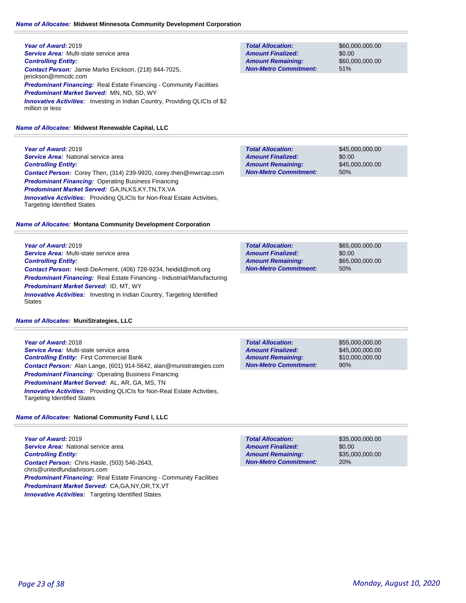# *Name of Allocatee:* **Midwest Minnesota Community Development Corporation**

**Year of Award:** 2019 *Service Area:* Multi-state service area *Controlling Entity: Contact Person:* Jamie Marks Erickson, (218) 844-7025, jerickson@mmcdc.com **Predominant Financing:** Real Estate Financing - Community Facilities *Predominant Market Served:* MN, ND, SD, WY **Innovative Activities:** Investing in Indian Country, Providing QLICIs of \$2 million or less

### *Name of Allocatee:* **Midwest Renewable Capital, LLC**

**Year of Award:** 2019 **Service Area: National service area** *Controlling Entity: Contact Person:* Corey Then, (314) 239-9920, corey.then@mwrcap.com **Predominant Financing: Operating Business Financing** *Predominant Market Served:* GA,IN,KS,KY,TN,TX,VA *Innovative Activities:* Providing QLICIs for Non-Real Estate Activities, Targeting Identified States

### *Name of Allocatee:* **Montana Community Development Corporation**

**Year of Award:** 2019 *Service Area:* Multi-state service area *Controlling Entity: Contact Person:* Heidi DeArment, (406) 728-9234, heidid@mofi.org *Predominant Financing:* Real Estate Financing - Industrial/Manufacturing *Predominant Market Served:* ID, MT, WY **Innovative Activities:** Investing in Indian Country, Targeting Identified States

### *Name of Allocatee:* **MuniStrategies, LLC**

**Year of Award:** 2018 *Service Area:* Multi-state service area *Controlling Entity:* First Commercial Bank *Contact Person:* Alan Lange, (601) 914-5642, alan@munistrategies.com *Predominant Financing: Operating Business Financing Predominant Market Served:* AL, AR, GA, MS, TN **Innovative Activities:** Providing QLICIs for Non-Real Estate Activities, Targeting Identified States

### *Name of Allocatee:* **National Community Fund I, LLC**

**Year of Award:** 2019 **Service Area: National service area** *Controlling Entity: Contact Person:* Chris Hasle, (503) 546-2643, chris@unitedfundadvisors.com **Predominant Financing:** Real Estate Financing - Community Facilities *Predominant Market Served:* CA,GA,NY,OR,TX,VT **Innovative Activities:** Targeting Identified States

**Total Allocation: Non-Metro Commitment: Amount Remaining: Amount Finalized:**

\$60,000,000.00 \$0.00 \$60,000,000.00 51%

\$45,000,000.00 \$0.00 \$45,000,000.00 50% **Total Allocation: Non-Metro Commitment: Amount Remaining: Amount Finalized:**

\$65,000,000.00 \$0.00 \$65,000,000.00 50% **Total Allocation: Non-Metro Commitment: Amount Remaining: Amount Finalized:**

\$55,000,000.00 \$45,000,000.00 \$10,000,000.00 90% **Total Allocation: Non-Metro Commitment: Amount Remaining: Amount Finalized:**

\$0.00 20% **Total Allocation: Non-Metro Commitment: Amount Remaining: Amount Finalized:**

\$35,000,000.00 \$35,000,000.00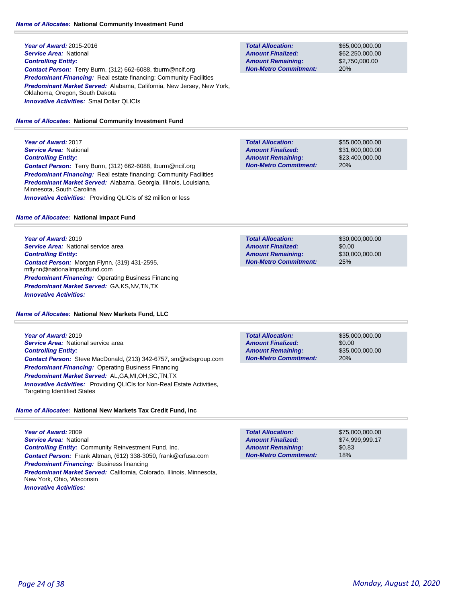**Year of Award:** 2015-2016 *Service Area:* National *Controlling Entity: Contact Person:* Terry Burm, (312) 662-6088, tburm@ncif.org *Predominant Financing:* Real estate financing: Community Facilities *Predominant Market Served:* Alabama, California, New Jersey, New York, Oklahoma, Oregon, South Dakota *Innovative Activities:* Smal Dollar QLICIs

### *Name of Allocatee:* **National Community Investment Fund**

**Year of Award:** 2017 *Service Area:* National *Controlling Entity: Contact Person:* Terry Burm, (312) 662-6088, tburm@ncif.org *Predominant Financing:* Real estate financing: Community Facilities *Predominant Market Served:* Alabama, Georgia, Illinois, Louisiana, Minnesota, South Carolina *Innovative Activities:* Providing QLICIs of \$2 million or less

#### *Name of Allocatee:* **National Impact Fund**

**Year of Award:** 2019 **Service Area: National service area** *Controlling Entity: Contact Person:* Morgan Flynn, (319) 431-2595, mflynn@nationalimpactfund.com *Predominant Financing:* Operating Business Financing *Predominant Market Served:* GA,KS,NV,TN,TX *Innovative Activities:* 

#### *Name of Allocatee:* **National New Markets Fund, LLC**

**Year of Award:** 2019 **Service Area: National service area** *Controlling Entity: Contact Person:* Steve MacDonald, (213) 342-6757, sm@sdsgroup.com *Predominant Financing:* Operating Business Financing *Predominant Market Served:* AL,GA,MI,OH,SC,TN,TX *Innovative Activities:* Providing QLICIs for Non-Real Estate Activities, Targeting Identified States

# *Name of Allocatee:* **National New Markets Tax Credit Fund, Inc**

**Year of Award:** 2009 *Service Area:* National *Controlling Entity:* Community Reinvestment Fund, Inc. *Contact Person:* Frank Altman, (612) 338-3050, frank@crfusa.com *Predominant Financing:* Business financing *Predominant Market Served:* California, Colorado, Illinois, Minnesota, New York, Ohio, Wisconsin *Innovative Activities:* 

**Total Allocation: Non-Metro Commitment: Amount Remaining: Amount Finalized:**

\$65,000,000.00 \$62,250,000.00 \$2,750,000.00 20%

\$55,000,000.00 \$31,600,000.00 \$23,400,000.00 20% **Total Allocation: Non-Metro Commitment: Amount Remaining: Amount Finalized:**

**Total Allocation: Non-Metro Commitment: Amount Remaining: Amount Finalized:**

\$30,000,000.00 \$0.00 \$30,000,000.00 25%

**Total Allocation: Non-Metro Commitment: Amount Remaining: Amount Finalized:**

\$35,000,000.00 \$0.00 \$35,000,000.00 20%

\$75,000,000.00 \$74,999,999.17 \$0.83 18% **Total Allocation: Non-Metro Commitment: Amount Remaining: Amount Finalized:**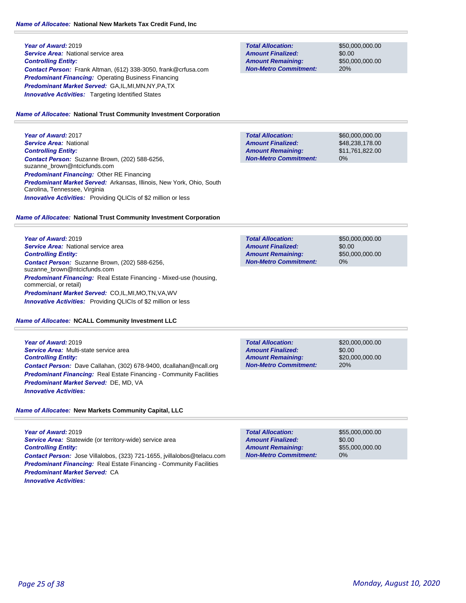**Year of Award:** 2019 **Service Area:** National service area *Controlling Entity: Contact Person:* Frank Altman, (612) 338-3050, frank@crfusa.com **Predominant Financing: Operating Business Financing** *Predominant Market Served:* GA,IL,MI,MN,NY,PA,TX **Innovative Activities:** Targeting Identified States

### *Name of Allocatee:* **National Trust Community Investment Corporation**

**Year of Award:** 2017 *Service Area:* National *Controlling Entity: Contact Person:* Suzanne Brown, (202) 588-6256, suzanne\_brown@ntcicfunds.com *Predominant Financing:* Other RE Financing *Predominant Market Served:* Arkansas, Illinois, New York, Ohio, South Carolina, Tennessee, Virginia **Innovative Activities:** Providing QLICIs of \$2 million or less

### *Name of Allocatee:* **National Trust Community Investment Corporation**

**Year of Award:** 2019 **Service Area: National service area** *Controlling Entity: Contact Person:* Suzanne Brown, (202) 588-6256, suzanne\_brown@ntcicfunds.com *Predominant Financing:* Real Estate Financing - Mixed-use (housing, commercial, or retail) *Predominant Market Served:* CO,IL,MI,MO,TN,VA,WV *Innovative Activities:* Providing QLICIs of \$2 million or less

### *Name of Allocatee:* **NCALL Community Investment LLC**

**Year of Award:** 2019 *Service Area:* Multi-state service area *Controlling Entity: Contact Person:* Dave Callahan, (302) 678-9400, dcallahan@ncall.org **Predominant Financing:** Real Estate Financing - Community Facilities *Predominant Market Served:* DE, MD, VA *Innovative Activities:* 

*Name of Allocatee:* **New Markets Community Capital, LLC**

**Year of Award:** 2019 Service Area: Statewide (or territory-wide) service area *Controlling Entity: Contact Person:* Jose Villalobos, (323) 721-1655, jvillalobos@telacu.com **Predominant Financing:** Real Estate Financing - Community Facilities *Predominant Market Served:* CA *Innovative Activities:* 

**Total Allocation: Non-Metro Commitment: Amount Remaining: Amount Finalized:**

\$50,000,000.00 \$0.00 \$50,000,000.00 20%

**Total Allocation: Non-Metro Commitment: Amount Remaining: Amount Finalized:**

\$60,000,000.00 \$48,238,178.00 \$11,761,822.00 0%

**Total Allocation: Non-Metro Commitment: Amount Remaining: Amount Finalized:**

\$50,000,000.00 \$0.00 \$50,000,000.00 0%

\$20,000,000.00 \$0.00 \$20,000,000.00 20% **Total Allocation: Non-Metro Commitment: Amount Remaining: Amount Finalized:**

\$55,000,000.00 \$0.00 \$55,000,000.00 0% **Total Allocation: Non-Metro Commitment: Amount Remaining: Amount Finalized:**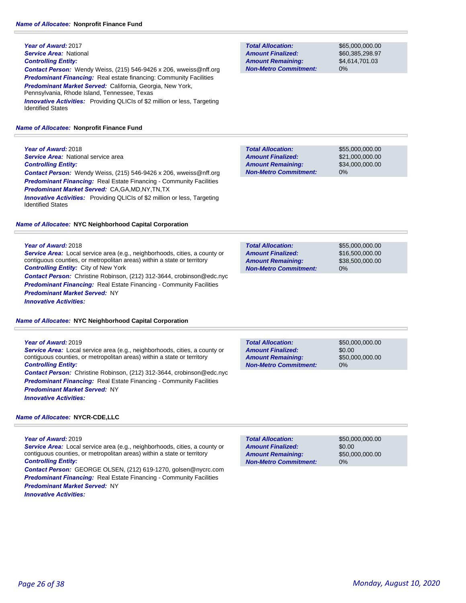**Year of Award:** 2017 *Service Area:* National *Controlling Entity: Contact Person:* Wendy Weiss, (215) 546-9426 x 206, wweiss@nff.org **Predominant Financing:** Real estate financing: Community Facilities *Predominant Market Served:* California, Georgia, New York, Pennsylvania, Rhode Island, Tennessee, Texas **Innovative Activities:** Providing QLICIs of \$2 million or less, Targeting Identified States

# *Name of Allocatee:* **Nonprofit Finance Fund**

# **Year of Award:** 2018

**Service Area: National service area** *Controlling Entity:* 

*Contact Person:* Wendy Weiss, (215) 546-9426 x 206, wweiss@nff.org **Predominant Financing:** Real Estate Financing - Community Facilities *Predominant Market Served:* CA,GA,MD,NY,TN,TX

*Innovative Activities:* Providing QLICIs of \$2 million or less, Targeting Identified States

# *Name of Allocatee:* **NYC Neighborhood Capital Corporation**

### **Year of Award:** 2018

*Service Area:* Local service area (e.g., neighborhoods, cities, a county or contiguous counties, or metropolitan areas) within a state or territory *Controlling Entity:* City of New York

*Contact Person:* Christine Robinson, (212) 312-3644, crobinson@edc.nyc **Predominant Financing:** Real Estate Financing - Community Facilities *Predominant Market Served:* NY

*Innovative Activities:* 

# *Name of Allocatee:* **NYC Neighborhood Capital Corporation**

# **Year of Award:** 2019

*Service Area:* Local service area (e.g., neighborhoods, cities, a county or contiguous counties, or metropolitan areas) within a state or territory *Controlling Entity:* 

*Contact Person:* Christine Robinson, (212) 312-3644, crobinson@edc.nyc *Predominant Financing:* Real Estate Financing - Community Facilities *Predominant Market Served:* NY *Innovative Activities:* 

# *Name of Allocatee:* **NYCR-CDE,LLC**

**Year of Award:** 2019

*Service Area:* Local service area (e.g., neighborhoods, cities, a county or contiguous counties, or metropolitan areas) within a state or territory *Controlling Entity:* 

*Contact Person:* GEORGE OLSEN, (212) 619-1270, golsen@nycrc.com *Predominant Financing:* Real Estate Financing - Community Facilities *Predominant Market Served:* NY

*Innovative Activities:* 

**Total Allocation: Non-Metro Commitment: Amount Remaining: Amount Finalized:**

\$65,000,000.00 \$60,385,298.97 \$4,614,701.03 0%

0% **Total Allocation: Non-Metro Commitment: Amount Remaining: Amount Finalized:**

\$55,000,000.00 \$21,000,000.00 \$34,000,000.00

| <b>Total Allocation:</b>     | \$55,000,000,00 |
|------------------------------|-----------------|
| <b>Amount Finalized:</b>     | \$16,500,000,00 |
| <b>Amount Remaining:</b>     | \$38,500,000,00 |
| <b>Non-Metro Commitment:</b> | 0%              |

| <b>Total Allocation:</b>     | \$50,000,000,00 |
|------------------------------|-----------------|
| <b>Amount Finalized:</b>     | \$0.00          |
| <b>Amount Remaining:</b>     | \$50,000,000,00 |
| <b>Non-Metro Commitment:</b> | 0%              |

0% **Total Allocation: Non-Metro Commitment: Amount Remaining: Amount Finalized:**

\$50,000,000.00 \$0.00 \$50,000,000.00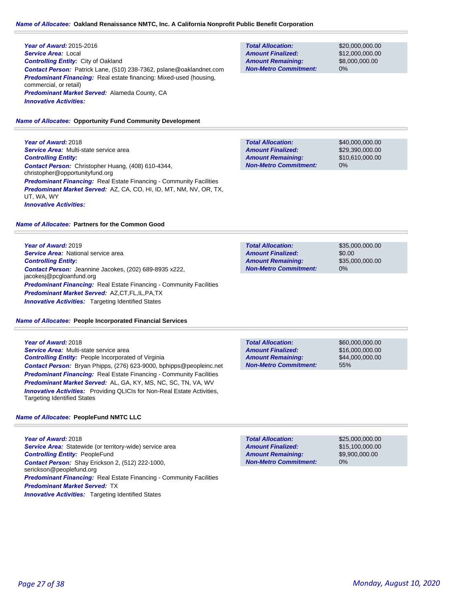### *Name of Allocatee:* **Oakland Renaissance NMTC, Inc. A California Nonprofit Public Benefit Corporation**

### **Year of Award:** 2015-2016 *Service Area:* Local *Controlling Entity:* City of Oakland *Contact Person:* Patrick Lane, (510) 238-7362, pslane@oaklandnet.com *Predominant Financing:* Real estate financing: Mixed-used (housing, commercial, or retail) *Predominant Market Served:* Alameda County, CA *Innovative Activities:*

### *Name of Allocatee:* **Opportunity Fund Community Development**

**Year of Award:** 2018 *Service Area:* Multi-state service area *Controlling Entity: Contact Person:* Christopher Huang, (408) 610-4344, christopher@opportunityfund.org **Predominant Financing:** Real Estate Financing - Community Facilities *Predominant Market Served:* AZ, CA, CO, HI, ID, MT, NM, NV, OR, TX, UT, WA, WY *Innovative Activities:* 

### *Name of Allocatee:* **Partners for the Common Good**

**Year of Award:** 2019 *Service Area:* National service area *Controlling Entity: Contact Person:* Jeannine Jacokes, (202) 689-8935 x222, jacokesj@pcgloanfund.org *Predominant Financing:* Real Estate Financing - Community Facilities *Predominant Market Served:* AZ,CT,FL,IL,PA,TX *Innovative Activities:* Targeting Identified States

#### *Name of Allocatee:* **People Incorporated Financial Services**

#### **Year of Award:** 2018

*Service Area:* Multi-state service area *Controlling Entity:* People Incorporated of Virginia *Contact Person:* Bryan Phipps, (276) 623-9000, bphipps@peopleinc.net **Predominant Financing:** Real Estate Financing - Community Facilities *Predominant Market Served:* AL, GA, KY, MS, NC, SC, TN, VA, WV **Innovative Activities:** Providing QLICIs for Non-Real Estate Activities, Targeting Identified States

#### *Name of Allocatee:* **PeopleFund NMTC LLC**

**Year of Award:** 2018 *Service Area:* Statewide (or territory-wide) service area *Controlling Entity:* PeopleFund *Contact Person:* Shay Erickson 2, (512) 222-1000, serickson@peoplefund.org *Predominant Financing:* Real Estate Financing - Community Facilities *Predominant Market Served:* TX **Innovative Activities:** Targeting Identified States

**Total Allocation: Non-Metro Commitment: Amount Remaining: Amount Finalized:**

\$20,000,000.00 \$12,000,000.00 \$8,000,000.00 0%

\$40,000,000.00 \$29,390,000.00 \$10,610,000.00 0% **Total Allocation: Non-Metro Commitment: Amount Remaining: Amount Finalized:**

| <b>Total Allocation:</b>     | \$35,000,000,00 |
|------------------------------|-----------------|
| <b>Amount Finalized:</b>     | \$0.00          |
| <b>Amount Remaining:</b>     | \$35,000,000,00 |
| <b>Non-Metro Commitment:</b> | 0%              |

| <b>Total Allocation:</b>     | \$60,000,000,00 |
|------------------------------|-----------------|
| <b>Amount Finalized:</b>     | \$16,000,000,00 |
| <b>Amount Remaining:</b>     | \$44,000,000,00 |
| <b>Non-Metro Commitment:</b> | 55%             |

0% **Total Allocation: Non-Metro Commitment: Amount Remaining: Amount Finalized:**

\$25,000,000.00 \$15,100,000.00 \$9,900,000.00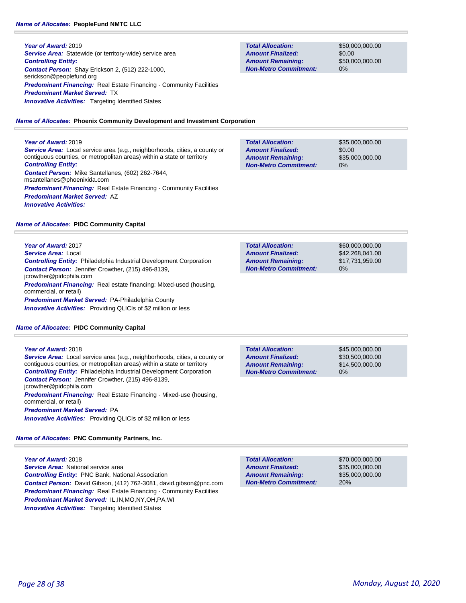**Year of Award:** 2019 **Service Area:** Statewide (or territory-wide) service area *Controlling Entity: Contact Person:* Shay Erickson 2, (512) 222-1000, serickson@peoplefund.org **Predominant Financing:** Real Estate Financing - Community Facilities *Predominant Market Served:* TX **Innovative Activities:** Targeting Identified States

**Total Allocation: Non-Metro Commitment: Amount Remaining: Amount Finalized:**

\$50,000,000.00 \$0.00 \$50,000,000.00 0%

*Name of Allocatee:* **Phoenix Community Development and Investment Corporation**

### **Year of Award:** 2019

*Service Area:* Local service area (e.g., neighborhoods, cities, a county or contiguous counties, or metropolitan areas) within a state or territory *Controlling Entity: Contact Person:* Mike Santellanes, (602) 262-7644, msantellanes@phoenixida.com **Predominant Financing:** Real Estate Financing - Community Facilities *Predominant Market Served:* AZ *Innovative Activities:* 

| <b>Total Allocation:</b>     | \$35,000,000.00 |
|------------------------------|-----------------|
| <b>Amount Finalized:</b>     | \$0.00          |
| <b>Amount Remaining:</b>     | \$35,000,000,00 |
| <b>Non-Metro Commitment:</b> | 0%              |

*Name of Allocatee:* **PIDC Community Capital**

### **Year of Award:** 2017

*Service Area:* Local *Controlling Entity:* Philadelphia Industrial Development Corporation *Contact Person:* Jennifer Crowther, (215) 496-8139, jcrowther@pidcphila.com *Predominant Financing:* Real estate financing: Mixed-used (housing, commercial, or retail) *Predominant Market Served:* PA-Philadelphia County *Innovative Activities:* Providing QLICIs of \$2 million or less

#### *Name of Allocatee:* **PIDC Community Capital**

| Year of Award: 2018                                                                                 |  |  |
|-----------------------------------------------------------------------------------------------------|--|--|
| <b>Service Area:</b> Local service area (e.g., neighborhoods, cities, a county or                   |  |  |
| contiguous counties, or metropolitan areas) within a state or territory                             |  |  |
|                                                                                                     |  |  |
| <b>Controlling Entity:</b> Philadelphia Industrial Development Corporation                          |  |  |
| <b>Contact Person:</b> Jennifer Crowther, (215) 496-8139,                                           |  |  |
| jcrowther@pidcphila.com                                                                             |  |  |
| <b>Predominant Financing:</b> Real Estate Financing - Mixed-use (housing,<br>commercial, or retail) |  |  |
| <b>Predominant Market Served: PA</b>                                                                |  |  |
| <b>Innovative Activities:</b> Providing QLICIs of \$2 million or less                               |  |  |

*Name of Allocatee:* **PNC Community Partners, Inc.**

**Year of Award:** 2018 *Service Area:* National service area *Controlling Entity:* PNC Bank, National Association *Contact Person:* David Gibson, (412) 762-3081, david.gibson@pnc.com *Predominant Financing:* Real Estate Financing - Community Facilities *Predominant Market Served:* IL,IN,MO,NY,OH,PA,WI **Innovative Activities:** Targeting Identified States

| <b>Total Allocation:</b>     | \$60,000,000,00 |
|------------------------------|-----------------|
| <b>Amount Finalized:</b>     | \$42.268.041.00 |
| <b>Amount Remaining:</b>     | \$17.731.959.00 |
| <b>Non-Metro Commitment:</b> | $0\%$           |

**Total Allocation: Non-Metro Commitment: Amount Remaining: Amount Finalized:**

\$45,000,000.00 \$30,500,000.00 \$14,500,000.00 0%

**Total Allocation: Non-Metro Commitment: Amount Remaining: Amount Finalized:**

\$70,000,000.00 \$35,000,000.00 \$35,000,000.00 20%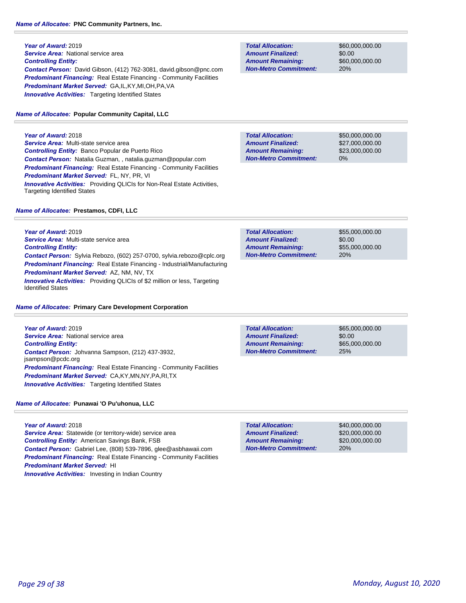# *Name of Allocatee:* **PNC Community Partners, Inc.**

**Year of Award:** 2019 **Service Area:** National service area *Controlling Entity: Contact Person:* David Gibson, (412) 762-3081, david.gibson@pnc.com **Predominant Financing:** Real Estate Financing - Community Facilities *Predominant Market Served:* GA,IL,KY,MI,OH,PA,VA **Innovative Activities:** Targeting Identified States

*Name of Allocatee:* **Popular Community Capital, LLC**

**Total Allocation: Non-Metro Commitment: Amount Remaining: Amount Finalized:**

\$60,000,000.00 \$0.00 \$60,000,000.00 20%

**Year of Award:** 2018 *Service Area:* Multi-state service area *Controlling Entity:* Banco Popular de Puerto Rico *Contact Person:* Natalia Guzman, , natalia.guzman@popular.com *Predominant Financing:* Real Estate Financing - Community Facilities *Predominant Market Served:* FL, NY, PR, VI **Innovative Activities:** Providing QLICIs for Non-Real Estate Activities, Targeting Identified States

### **Total Allocation: Non-Metro Commitment: Amount Remaining: Amount Finalized:**

\$50,000,000.00 \$27,000,000.00 \$23,000,000.00 0%

### *Name of Allocatee:* **Prestamos, CDFI, LLC**

**Year of Award:** 2019 *Service Area:* Multi-state service area *Controlling Entity: Contact Person:* Sylvia Rebozo, (602) 257-0700, sylvia.rebozo@cplc.org *Predominant Financing:* Real Estate Financing - Industrial/Manufacturing *Predominant Market Served:* AZ, NM, NV, TX *Innovative Activities:* Providing QLICIs of \$2 million or less, Targeting Identified States

#### *Name of Allocatee:* **Primary Care Development Corporation**

**Year of Award:** 2019 *Service Area:* National service area *Controlling Entity: Contact Person:* Johvanna Sampson, (212) 437-3932, jsampson@pcdc.org **Predominant Financing:** Real Estate Financing - Community Facilities *Predominant Market Served:* CA,KY,MN,NY,PA,RI,TX **Innovative Activities:** Targeting Identified States

### *Name of Allocatee:* **Punawai 'O Pu'uhonua, LLC**

### **Year of Award:** 2018

Service Area: Statewide (or territory-wide) service area *Controlling Entity:* American Savings Bank, FSB *Contact Person:* Gabriel Lee, (808) 539-7896, glee@asbhawaii.com **Predominant Financing:** Real Estate Financing - Community Facilities *Predominant Market Served:* HI **Innovative Activities:** Investing in Indian Country

| <b>Total Allocation:</b>     | \$55,000,000,00 |
|------------------------------|-----------------|
| <b>Amount Finalized:</b>     | \$0.00          |
| <b>Amount Remaining:</b>     | \$55,000,000,00 |
| <b>Non-Metro Commitment:</b> | 20%             |

**Total Allocation: Non-Metro Commitment: Amount Remaining: Amount Finalized:**

\$65,000,000.00 \$0.00 \$65,000,000.00 25%

\$40,000,000.00 \$20,000,000.00 \$20,000,000.00 20% **Total Allocation: Non-Metro Commitment: Amount Remaining: Amount Finalized:**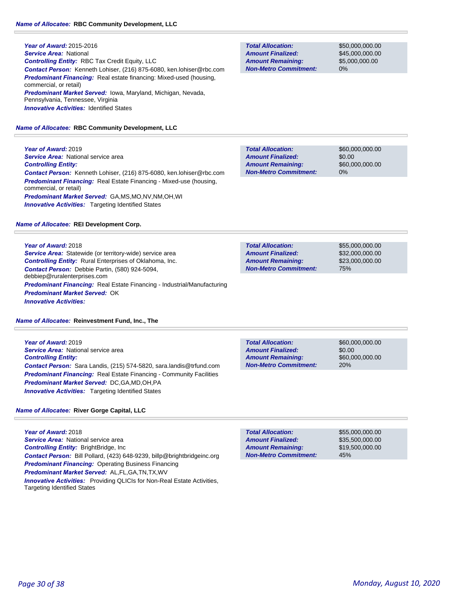**Year of Award:** 2015-2016 *Service Area:* National *Controlling Entity:* RBC Tax Credit Equity, LLC *Contact Person:* Kenneth Lohiser, (216) 875-6080, ken.lohiser@rbc.com *Predominant Financing:* Real estate financing: Mixed-used (housing, commercial, or retail) *Predominant Market Served:* Iowa, Maryland, Michigan, Nevada, Pennsylvania, Tennessee, Virginia **Innovative Activities: Identified States** 

*Name of Allocatee:* **RBC Community Development, LLC**

**Year of Award:** 2019 **Service Area: National service area** *Controlling Entity: Contact Person:* Kenneth Lohiser, (216) 875-6080, ken.lohiser@rbc.com *Predominant Financing:* Real Estate Financing - Mixed-use (housing, commercial, or retail) *Predominant Market Served:* GA,MS,MO,NV,NM,OH,WI **Innovative Activities:** Targeting Identified States

# *Name of Allocatee:* **REI Development Corp.**

### **Year of Award:** 2018

**Service Area:** Statewide (or territory-wide) service area *Controlling Entity:* Rural Enterprises of Oklahoma, Inc. *Contact Person:* Debbie Partin, (580) 924-5094, debbiep@ruralenterprises.com *Predominant Financing:* Real Estate Financing - Industrial/Manufacturing *Predominant Market Served:* OK *Innovative Activities:* 

*Name of Allocatee:* **Reinvestment Fund, Inc., The**

**Year of Award:** 2019 *Service Area:* National service area *Controlling Entity: Contact Person:* Sara Landis, (215) 574-5820, sara.landis@trfund.com **Predominant Financing:** Real Estate Financing - Community Facilities *Predominant Market Served:* DC,GA,MD,OH,PA **Innovative Activities:** Targeting Identified States

# *Name of Allocatee:* **River Gorge Capital, LLC**

**Year of Award:** 2018 **Service Area: National service area** *Controlling Entity:* BrightBridge, Inc *Contact Person:* Bill Pollard, (423) 648-9239, billp@brightbridgeinc.org *Predominant Financing:* Operating Business Financing *Predominant Market Served:* AL,FL,GA,TN,TX,WV *Innovative Activities:* Providing QLICIs for Non-Real Estate Activities, Targeting Identified States

**Total Allocation: Non-Metro Commitment: Amount Remaining: Amount Finalized:**

\$50,000,000.00 \$45,000,000.00 \$5,000,000.00 0%

\$60,000,000.00 \$0.00 \$60,000,000.00 0% **Total Allocation: Non-Metro Commitment: Amount Remaining: Amount Finalized:**

\$55,000,000.00 \$32,000,000.00 \$23,000,000.00 75% **Total Allocation: Non-Metro Commitment: Amount Remaining: Amount Finalized:**

20% **Total Allocation: Non-Metro Commitment: Amount Remaining: Amount Finalized:**

\$60,000,000.00 \$0.00 \$60,000,000.00

\$55,000,000.00 \$35,500,000.00 \$19,500,000.00 45% **Total Allocation: Non-Metro Commitment: Amount Remaining: Amount Finalized:**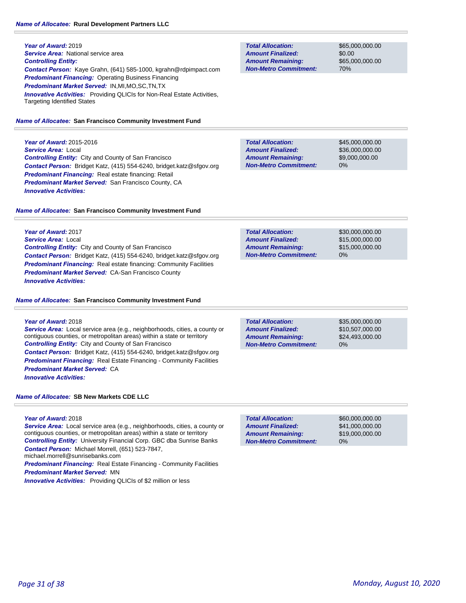#### *Name of Allocatee:* **Rural Development Partners LLC**

**Year of Award:** 2019 **Service Area:** National service area *Controlling Entity: Contact Person:* Kaye Grahn, (641) 585-1000, kgrahn@rdpimpact.com *Predominant Financing:* Operating Business Financing *Predominant Market Served:* IN,MI,MO,SC,TN,TX **Innovative Activities:** Providing QLICIs for Non-Real Estate Activities, Targeting Identified States

#### *Name of Allocatee:* **San Francisco Community Investment Fund**

**Year of Award:** 2015-2016 *Service Area:* Local *Controlling Entity:* City and County of San Francisco *Contact Person:* Bridget Katz, (415) 554-6240, bridget.katz@sfgov.org *Predominant Financing:* Real estate financing: Retail *Predominant Market Served:* San Francisco County, CA *Innovative Activities:* 

#### *Name of Allocatee:* **San Francisco Community Investment Fund**

**Year of Award:** 2017 *Service Area:* Local *Controlling Entity:* City and County of San Francisco *Contact Person:* Bridget Katz, (415) 554-6240, bridget.katz@sfgov.org *Predominant Financing:* Real estate financing: Community Facilities *Predominant Market Served:* CA-San Francisco County *Innovative Activities:* 

#### *Name of Allocatee:* **San Francisco Community Investment Fund**

#### **Year of Award:** 2018

**Service Area:** Local service area (e.g., neighborhoods, cities, a county or contiguous counties, or metropolitan areas) within a state or territory *Controlling Entity:* City and County of San Francisco *Contact Person:* Bridget Katz, (415) 554-6240, bridget.katz@sfgov.org *Predominant Financing:* Real Estate Financing - Community Facilities *Predominant Market Served:* CA *Innovative Activities:* 

### *Name of Allocatee:* **SB New Markets CDE LLC**

**Year of Award:** 2018

*Service Area:* Local service area (e.g., neighborhoods, cities, a county or contiguous counties, or metropolitan areas) within a state or territory *Controlling Entity:* University Financial Corp. GBC dba Sunrise Banks *Contact Person:* Michael Morrell, (651) 523-7847, michael.morrell@sunrisebanks.com **Predominant Financing:** Real Estate Financing - Community Facilities

*Predominant Market Served:* MN

*Innovative Activities:* Providing QLICIs of \$2 million or less

**Total Allocation: Non-Metro Commitment: Amount Remaining: Amount Finalized:**

\$65,000,000.00 \$0.00 \$65,000,000.00 70%

\$45,000,000.00 \$36,000,000.00 \$9,000,000.00 0% **Total Allocation: Non-Metro Commitment: Amount Remaining: Amount Finalized:**

| <b>Total Allocation:</b>     | \$30,000,000,00 |
|------------------------------|-----------------|
| <b>Amount Finalized:</b>     | \$15,000,000.00 |
| <b>Amount Remaining:</b>     | \$15,000,000,00 |
| <b>Non-Metro Commitment:</b> | $0\%$           |

\$35,000,000.00 \$10,507,000.00 \$24,493,000.00 0% **Total Allocation: Non-Metro Commitment: Amount Remaining: Amount Finalized:**

**Total Allocation: Non-Metro Commitment: Amount Remaining: Amount Finalized:**

\$60,000,000.00 \$41,000,000.00 \$19,000,000.00 0%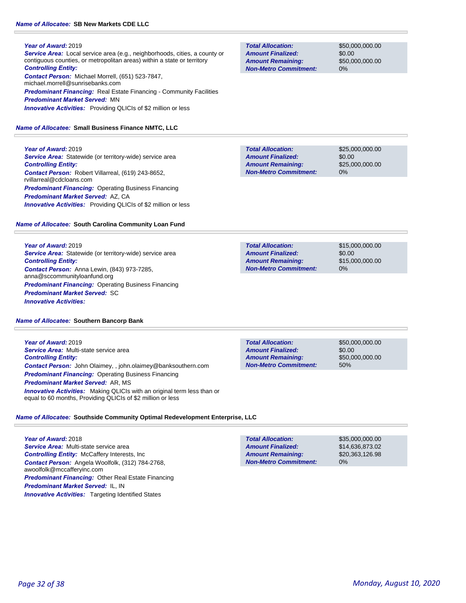# *Name of Allocatee:* **SB New Markets CDE LLC**

### **Year of Award:** 2019

*Service Area:* Local service area (e.g., neighborhoods, cities, a county or contiguous counties, or metropolitan areas) within a state or territory *Controlling Entity: Contact Person:* Michael Morrell, (651) 523-7847, michael.morrell@sunrisebanks.com **Predominant Financing:** Real Estate Financing - Community Facilities

*Predominant Market Served:* MN *Innovative Activities:* Providing QLICIs of \$2 million or less

# *Name of Allocatee:* **Small Business Finance NMTC, LLC**

**Year of Award:** 2019 *Service Area:* Statewide (or territory-wide) service area *Controlling Entity: Contact Person:* Robert Villarreal, (619) 243-8652, rvillarreal@cdcloans.com *Predominant Financing:* Operating Business Financing *Predominant Market Served:* AZ, CA *Innovative Activities:* Providing QLICIs of \$2 million or less

# *Name of Allocatee:* **South Carolina Community Loan Fund**

**Year of Award:** 2019 **Service Area:** Statewide (or territory-wide) service area *Controlling Entity: Contact Person:* Anna Lewin, (843) 973-7285, anna@sccommunityloanfund.org **Predominant Financing: Operating Business Financing** *Predominant Market Served:* SC *Innovative Activities:* 

### *Name of Allocatee:* **Southern Bancorp Bank**

**Year of Award:** 2019 *Service Area:* Multi-state service area *Controlling Entity: Contact Person:* John Olaimey, , john.olaimey@banksouthern.com *Predominant Financing: Operating Business Financing Predominant Market Served:* AR, MS *Innovative Activities:* Making QLICIs with an original term less than or equal to 60 months, Providing QLICIs of \$2 million or less

\$50,000,000.00 \$0.00 \$50,000,000.00 50% **Total Allocation: Non-Metro Commitment: Amount Remaining: Amount Finalized:**

# *Name of Allocatee:* **Southside Community Optimal Redevelopment Enterprise, LLC**

**Year of Award:** 2018 *Service Area:* Multi-state service area **Controlling Entity: McCaffery Interests, Inc.** *Contact Person:* Angela Woolfolk, (312) 784-2768, awoolfolk@mccafferyinc.com *Predominant Financing:* Other Real Estate Financing *Predominant Market Served:* IL, IN **Innovative Activities:** Targeting Identified States

#### \$35,000,000.00 \$14,636,873.02 \$20,363,126.98 0% **Total Allocation: Non-Metro Commitment: Amount Remaining: Amount Finalized:**

# *Page 32 of 38 Monday, August 10, 2020*

**Total Allocation: Non-Metro Commitment: Amount Remaining: Amount Finalized:**

\$50,000,000.00 \$0.00 \$50,000,000.00 0%

**Total Allocation: Non-Metro Commitment: Amount Remaining: Amount Finalized:**

\$25,000,000.00 \$0.00 \$25,000,000.00 0%

\$15,000,000.00 \$0.00 \$15,000,000.00 0% **Total Allocation: Non-Metro Commitment: Amount Remaining: Amount Finalized:**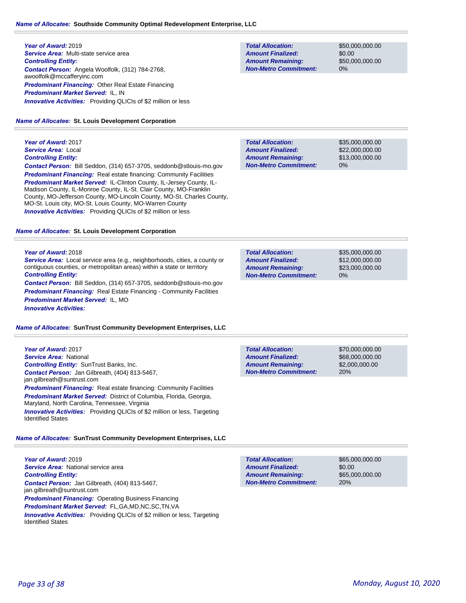#### *Name of Allocatee:* **Southside Community Optimal Redevelopment Enterprise, LLC**

**Year of Award:** 2019 *Service Area:* Multi-state service area *Controlling Entity: Contact Person:* Angela Woolfolk, (312) 784-2768, awoolfolk@mccafferyinc.com *Predominant Financing:* Other Real Estate Financing *Predominant Market Served:* IL, IN *Innovative Activities:* Providing QLICIs of \$2 million or less

#### *Name of Allocatee:* **St. Louis Development Corporation**

**Year of Award:** 2017 *Service Area:* Local *Controlling Entity: Contact Person:* Bill Seddon, (314) 657-3705, seddonb@stlouis-mo.gov *Predominant Financing:* Real estate financing: Community Facilities *Predominant Market Served:* IL-Clinton County, IL-Jersey County, IL-Madison County, IL-Monroe County, IL-St. Clair County, MO-Franklin County, MO-Jefferson County, MO-Lincoln County, MO-St. Charles County, MO-St. Louis city, MO-St. Louis County, MO-Warren County **Innovative Activities:** Providing QLICIs of \$2 million or less

#### *Name of Allocatee:* **St. Louis Development Corporation**

#### **Year of Award:** 2018

*Service Area:* Local service area (e.g., neighborhoods, cities, a county or contiguous counties, or metropolitan areas) within a state or territory *Controlling Entity:* 

*Contact Person:* Bill Seddon, (314) 657-3705, seddonb@stlouis-mo.gov **Predominant Financing:** Real Estate Financing - Community Facilities *Predominant Market Served:* IL, MO *Innovative Activities:* 

#### *Name of Allocatee:* **SunTrust Community Development Enterprises, LLC**

**Year of Award:** 2017 *Service Area:* National *Controlling Entity:* SunTrust Banks, Inc. *Contact Person:* Jan Gilbreath, (404) 813-5467, jan.gilbreath@suntrust.com **Predominant Financing:** Real estate financing: Community Facilities **Predominant Market Served:** District of Columbia, Florida, Georgia, Maryland, North Carolina, Tennessee, Virginia **Innovative Activities:** Providing QLICIs of \$2 million or less, Targeting Identified States

# *Name of Allocatee:* **SunTrust Community Development Enterprises, LLC**

**Year of Award:** 2019 *Service Area:* National service area *Controlling Entity: Contact Person:* Jan Gilbreath, (404) 813-5467, jan.gilbreath@suntrust.com **Predominant Financing: Operating Business Financing** *Predominant Market Served:* FL,GA,MD,NC,SC,TN,VA *Innovative Activities:* Providing QLICIs of \$2 million or less, Targeting Identified States

**Total Allocation: Non-Metro Commitment: Amount Remaining: Amount Finalized:**

\$50,000,000.00 \$0.00 \$50,000,000.00 0%

\$35,000,000.00 \$22,000,000.00 \$13,000,000.00 0% **Total Allocation: Non-Metro Commitment: Amount Remaining: Amount Finalized:**

\$35,000,000.00 \$12,000,000.00 \$23,000,000.00 0% **Total Allocation: Non-Metro Commitment: Amount Remaining: Amount Finalized:**

**Total Allocation: Non-Metro Commitment: Amount Remaining: Amount Finalized:**

\$70,000,000.00 \$68,000,000.00 \$2,000,000.00 20%

**Total Allocation: Non-Metro Commitment: Amount Remaining: Amount Finalized:**

\$65,000,000.00 \$0.00 \$65,000,000.00 20%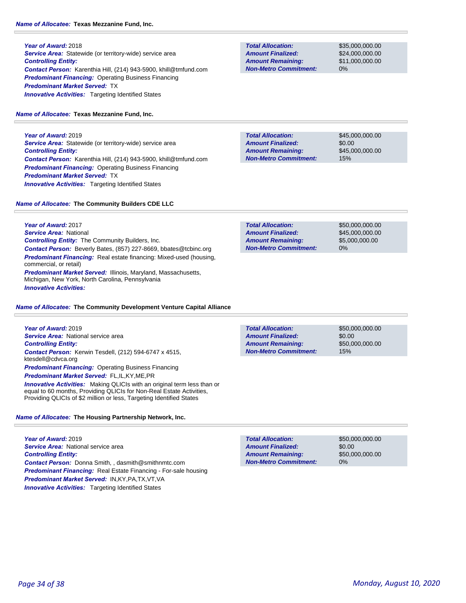**Year of Award:** 2018 **Service Area:** Statewide (or territory-wide) service area *Controlling Entity: Contact Person:* Karenthia Hill, (214) 943-5900, khill@tmfund.com **Predominant Financing: Operating Business Financing** *Predominant Market Served:* TX **Innovative Activities:** Targeting Identified States

*Name of Allocatee:* **Texas Mezzanine Fund, Inc.**

**Year of Award:** 2019 **Service Area:** Statewide (or territory-wide) service area *Controlling Entity: Contact Person:* Karenthia Hill, (214) 943-5900, khill@tmfund.com *Predominant Financing:* Operating Business Financing *Predominant Market Served:* TX **Innovative Activities:** Targeting Identified States

**Total Allocation: Non-Metro Commitment: Amount Remaining: Amount Finalized:**

**Total Allocation:**

**Non-Metro Commitment: Amount Remaining: Amount Finalized:**

> \$45,000,000.00 \$0.00

\$45,000,000.00

15%

\$35,000,000.00 \$24,000,000.00 \$11,000,000.00

0%

*Name of Allocatee:* **The Community Builders CDE LLC**

**Year of Award:** 2017 *Service Area:* National *Controlling Entity:* The Community Builders, Inc. *Contact Person:* Beverly Bates, (857) 227-8669, bbates@tcbinc.org **Predominant Financing:** Real estate financing: Mixed-used (housing, commercial, or retail) *Predominant Market Served:* Illinois, Maryland, Massachusetts, Michigan, New York, North Carolina, Pennsylvania *Innovative Activities:* 

*Name of Allocatee:* **The Community Development Venture Capital Alliance**

**Year of Award:** 2019 *Service Area:* National service area *Controlling Entity: Contact Person:* Kerwin Tesdell, (212) 594-6747 x 4515, ktesdell@cdvca.org *Predominant Financing:* Operating Business Financing *Predominant Market Served:* FL,IL,KY,ME,PR **Innovative Activities:** Making QLICIs with an original term less than or equal to 60 months, Providing QLICIs for Non-Real Estate Activities, Providing QLICIs of \$2 million or less, Targeting Identified States

### *Name of Allocatee:* **The Housing Partnership Network, Inc.**

**Year of Award:** 2019 *Service Area:* National service area *Controlling Entity: Contact Person:* Donna Smith, , dasmith@smithnmtc.com *Predominant Financing:* Real Estate Financing - For-sale housing *Predominant Market Served:* IN,KY,PA,TX,VT,VA **Innovative Activities:** Targeting Identified States

| <b>Total Allocation:</b>     | \$50,000,000,00 |
|------------------------------|-----------------|
| <b>Amount Finalized:</b>     | \$45,000,000,00 |
| <b>Amount Remaining:</b>     | \$5,000,000,00  |
| <b>Non-Metro Commitment:</b> | 0%              |
|                              |                 |

**Total Allocation: Non-Metro Commitment: Amount Remaining: Amount Finalized:**

\$50,000,000.00 \$0.00 \$50,000,000.00 15%

**Total Allocation: Non-Metro Commitment: Amount Remaining: Amount Finalized:**

\$50,000,000.00 \$0.00 \$50,000,000.00 0%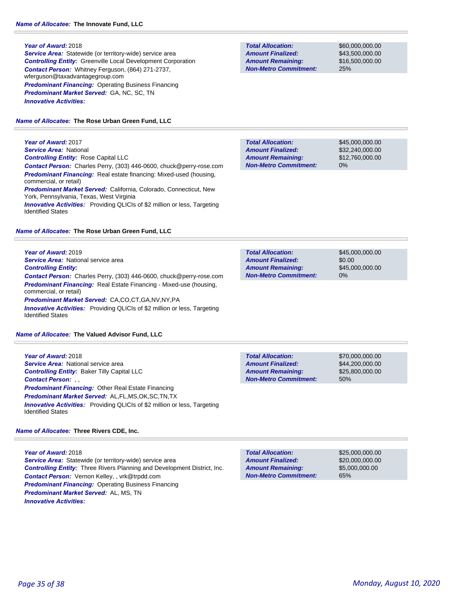#### **Year of Award:** 2018

**Service Area:** Statewide (or territory-wide) service area *Controlling Entity:* Greenville Local Development Corporation *Contact Person:* Whitney Ferguson, (864) 271-2737, wferguson@taxadvantagegroup.com *Predominant Financing:* Operating Business Financing *Predominant Market Served:* GA, NC, SC, TN *Innovative Activities:* 

### *Name of Allocatee:* **The Rose Urban Green Fund, LLC**

**Year of Award:** 2017 *Service Area:* National *Controlling Entity:* Rose Capital LLC *Contact Person:* Charles Perry, (303) 446-0600, chuck@perry-rose.com *Predominant Financing:* Real estate financing: Mixed-used (housing, commercial, or retail) *Predominant Market Served:* California, Colorado, Connecticut, New York, Pennsylvania, Texas, West Virginia **Innovative Activities:** Providing QLICIs of \$2 million or less, Targeting Identified States

### *Name of Allocatee:* **The Rose Urban Green Fund, LLC**

**Year of Award:** 2019 *Service Area:* National service area *Controlling Entity: Contact Person:* Charles Perry, (303) 446-0600, chuck@perry-rose.com *Predominant Financing:* Real Estate Financing - Mixed-use (housing, commercial, or retail) *Predominant Market Served:* CA,CO,CT,GA,NV,NY,PA *Innovative Activities:* Providing QLICIs of \$2 million or less, Targeting

*Name of Allocatee:* **The Valued Advisor Fund, LLC**

Identified States

**Year of Award:** 2018 **Service Area:** National service area *Controlling Entity:* Baker Tilly Capital LLC *Contact Person:* , , *Predominant Financing:* Other Real Estate Financing *Predominant Market Served:* AL,FL,MS,OK,SC,TN,TX *Innovative Activities:* Providing QLICIs of \$2 million or less, Targeting Identified States

#### *Name of Allocatee:* **Three Rivers CDE, Inc.**

**Year of Award:** 2018 **Service Area:** Statewide (or territory-wide) service area *Controlling Entity:* Three Rivers Planning and Development District, Inc. *Contact Person:* Vernon Kelley, , vrk@trpdd.com *Predominant Financing: Operating Business Financing Predominant Market Served:* AL, MS, TN *Innovative Activities:* 

**Total Allocation: Non-Metro Commitment: Amount Remaining: Amount Finalized:**

\$60,000,000.00 \$43,500,000.00 \$16,500,000.00 25%

\$45,000,000.00 \$32,240,000.00 \$12,760,000.00 0% **Total Allocation: Non-Metro Commitment: Amount Remaining: Amount Finalized:**

\$45,000,000.00 \$0.00 \$45,000,000.00 0% **Total Allocation: Non-Metro Commitment: Amount Remaining: Amount Finalized:**

\$70,000,000.00 \$44,200,000.00 \$25,800,000.00 50% **Total Allocation: Non-Metro Commitment: Amount Remaining: Amount Finalized:**

**Total Allocation: Non-Metro Commitment: Amount Remaining: Amount Finalized:**

\$25,000,000.00 \$20,000,000.00 \$5,000,000.00 65%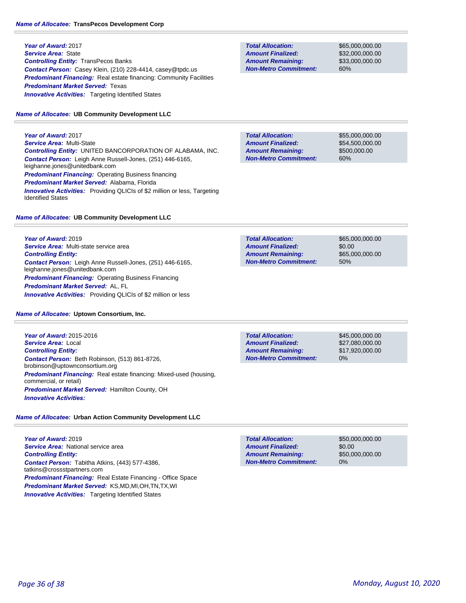**Year of Award:** 2017 *Service Area:* State *Controlling Entity:* TransPecos Banks *Contact Person:* Casey Klein, (210) 228-4414, casey@tpdc.us **Predominant Financing:** Real estate financing: Community Facilities *Predominant Market Served:* Texas **Innovative Activities:** Targeting Identified States

### *Name of Allocatee:* **UB Community Development LLC**

**Year of Award:** 2017 *Service Area:* Multi-State *Controlling Entity:* UNITED BANCORPORATION OF ALABAMA, INC. *Contact Person:* Leigh Anne Russell-Jones, (251) 446-6165, leighanne.jones@unitedbank.com **Predominant Financing: Operating Business financing** *Predominant Market Served:* Alabama, Florida **Innovative Activities:** Providing QLICIs of \$2 million or less, Targeting Identified States

# *Name of Allocatee:* **UB Community Development LLC**

**Year of Award:** 2019 *Service Area:* Multi-state service area *Controlling Entity: Contact Person:* Leigh Anne Russell-Jones, (251) 446-6165, leighanne.jones@unitedbank.com *Predominant Financing: Operating Business Financing Predominant Market Served:* AL, FL *Innovative Activities:* Providing QLICIs of \$2 million or less

*Name of Allocatee:* **Uptown Consortium, Inc.**

**Year of Award:** 2015-2016 *Service Area:* Local *Controlling Entity: Contact Person:* Beth Robinson, (513) 861-8726, brobinson@uptownconsortium.org **Predominant Financing:** Real estate financing: Mixed-used (housing, commercial, or retail) *Predominant Market Served:* Hamilton County, OH *Innovative Activities:* 

# *Name of Allocatee:* **Urban Action Community Development LLC**

**Year of Award:** 2019 **Service Area: National service area** *Controlling Entity: Contact Person:* Tabitha Atkins, (443) 577-4386, tatkins@crossstpartners.com *Predominant Financing:* Real Estate Financing - Office Space *Predominant Market Served:* KS,MD,MI,OH,TN,TX,WI **Innovative Activities:** Targeting Identified States

**Total Allocation: Non-Metro Commitment: Amount Remaining: Amount Finalized:**

\$65,000,000.00 \$32,000,000.00 \$33,000,000.00 60%

**Total Allocation: Non-Metro Commitment: Amount Remaining: Amount Finalized:**

\$55,000,000.00 \$54,500,000.00 \$500,000.00 60%

**Total Allocation: Non-Metro Commitment: Amount Remaining: Amount Finalized:**

\$65,000,000.00 \$0.00 \$65,000,000.00 50%

\$45,000,000.00 \$27,080,000.00 \$17,920,000.00 0% **Total Allocation: Non-Metro Commitment: Amount Remaining: Amount Finalized:**

**Total Allocation: Non-Metro Commitment: Amount Remaining: Amount Finalized:**

\$50,000,000.00 \$0.00 \$50,000,000.00 0%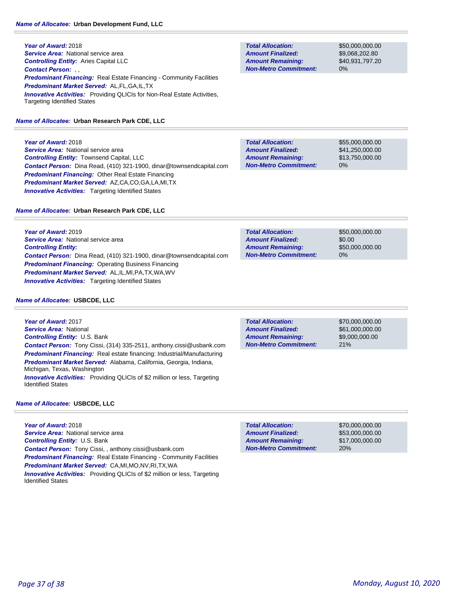**Year of Award:** 2018 **Service Area: National service area** *Controlling Entity:* Aries Capital LLC *Contact Person:* , , *Predominant Financing:* Real Estate Financing - Community Facilities *Predominant Market Served:* AL,FL,GA,IL,TX **Innovative Activities:** Providing QLICIs for Non-Real Estate Activities, Targeting Identified States

### *Name of Allocatee:* **Urban Research Park CDE, LLC**

**Year of Award:** 2018

*Service Area:* National service area *Controlling Entity:* Townsend Capital, LLC *Contact Person:* Dina Read, (410) 321-1900, dinar@townsendcapital.com *Predominant Financing:* Other Real Estate Financing *Predominant Market Served:* AZ,CA,CO,GA,LA,MI,TX **Innovative Activities:** Targeting Identified States

|  | Name of Allocatee: Urban Research Park CDE, LLC |  |  |  |  |
|--|-------------------------------------------------|--|--|--|--|
|--|-------------------------------------------------|--|--|--|--|

**Year of Award:** 2019 *Service Area:* National service area *Controlling Entity: Contact Person:* Dina Read, (410) 321-1900, dinar@townsendcapital.com *Predominant Financing:* Operating Business Financing *Predominant Market Served:* AL,IL,MI,PA,TX,WA,WV *Innovative Activities:* Targeting Identified States

#### *Name of Allocatee:* **USBCDE, LLC**

**Year of Award:** 2017 *Service Area:* National *Controlling Entity:* U.S. Bank *Contact Person:* Tony Cissi, (314) 335-2511, anthony.cissi@usbank.com *Predominant Financing:* Real estate financing: Industrial/Manufacturing *Predominant Market Served:* Alabama, California, Georgia, Indiana, Michigan, Texas, Washington *Innovative Activities:* Providing QLICIs of \$2 million or less, Targeting Identified States

### *Name of Allocatee:* **USBCDE, LLC**

**Year of Award:** 2018 **Service Area: National service area** *Controlling Entity:* U.S. Bank *Contact Person:* Tony Cissi, , anthony.cissi@usbank.com **Predominant Financing:** Real Estate Financing - Community Facilities *Predominant Market Served:* CA,MI,MO,NV,RI,TX,WA *Innovative Activities:* Providing QLICIs of \$2 million or less, Targeting Identified States

**Total Allocation: Non-Metro Commitment: Amount Remaining: Amount Finalized:**

\$50,000,000.00 \$9,068,202.80 \$40,931,797.20 0%

\$55,000,000.00 \$41,250,000.00 \$13,750,000.00 0% **Total Allocation: Non-Metro Commitment: Amount Remaining: Amount Finalized:**

| <b>Total Allocation:</b>     | \$50,000,000,00 |
|------------------------------|-----------------|
| <b>Amount Finalized:</b>     | \$0.00          |
| <b>Amount Remaining:</b>     | \$50,000,000,00 |
| <b>Non-Metro Commitment:</b> | $0\%$           |

21% **Total Allocation: Non-Metro Commitment: Amount Remaining: Amount Finalized:**

\$70,000,000.00 \$61,000,000.00 \$9,000,000.00

\$70,000,000.00 \$53,000,000.00 \$17,000,000.00 20% **Total Allocation: Non-Metro Commitment: Amount Remaining: Amount Finalized:**